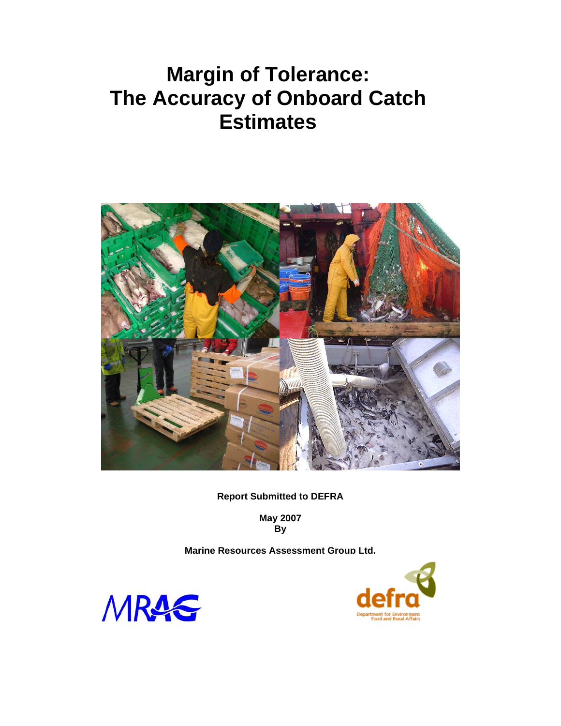# **Margin of Tolerance: The Accuracy of Onboard Catch Estimates**



**Report Submitted to DEFRA** 

**May 2007 By** 

**Marine Resources Assessment Group Ltd.** 



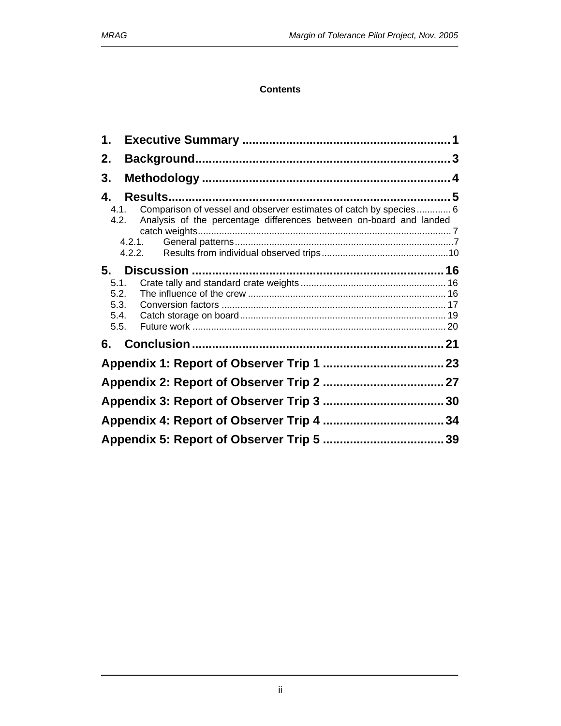### **Contents**

| 1.                                                                                                                                                                          |  |
|-----------------------------------------------------------------------------------------------------------------------------------------------------------------------------|--|
| 2.                                                                                                                                                                          |  |
| 3.                                                                                                                                                                          |  |
| 4.                                                                                                                                                                          |  |
| Comparison of vessel and observer estimates of catch by species 6<br>4.1.<br>Analysis of the percentage differences between on-board and landed<br>4.2.<br>4.2.1.<br>4.2.2. |  |
| 5.                                                                                                                                                                          |  |
| 5.1.                                                                                                                                                                        |  |
| 5.2.<br>5.3.                                                                                                                                                                |  |
| 5.4.                                                                                                                                                                        |  |
| 5.5.                                                                                                                                                                        |  |
| 6.                                                                                                                                                                          |  |
|                                                                                                                                                                             |  |
|                                                                                                                                                                             |  |
|                                                                                                                                                                             |  |
|                                                                                                                                                                             |  |
|                                                                                                                                                                             |  |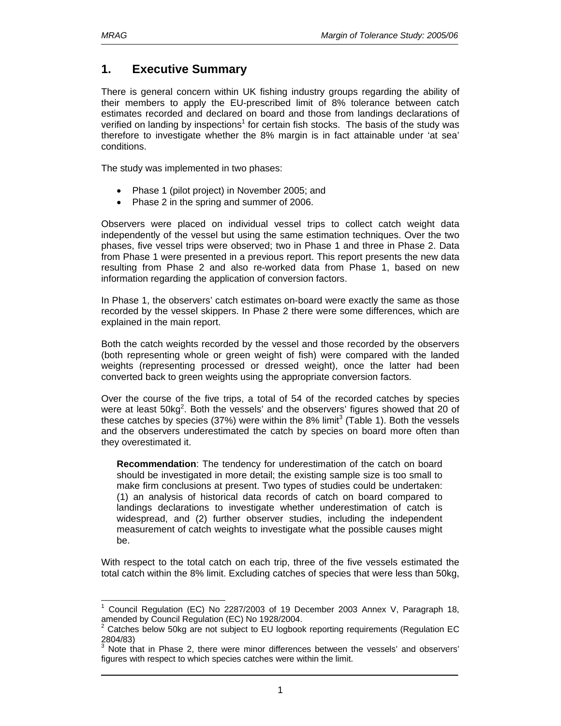l

# **1. Executive Summary**

There is general concern within UK fishing industry groups regarding the ability of their members to apply the EU-prescribed limit of 8% tolerance between catch estimates recorded and declared on board and those from landings declarations of verified on landing by inspections<sup>1</sup> for certain fish stocks. The basis of the study was therefore to investigate whether the 8% margin is in fact attainable under 'at sea' conditions.

The study was implemented in two phases:

- Phase 1 (pilot project) in November 2005; and
- Phase 2 in the spring and summer of 2006.

Observers were placed on individual vessel trips to collect catch weight data independently of the vessel but using the same estimation techniques. Over the two phases, five vessel trips were observed; two in Phase 1 and three in Phase 2. Data from Phase 1 were presented in a previous report. This report presents the new data resulting from Phase 2 and also re-worked data from Phase 1, based on new information regarding the application of conversion factors.

In Phase 1, the observers' catch estimates on-board were exactly the same as those recorded by the vessel skippers. In Phase 2 there were some differences, which are explained in the main report.

Both the catch weights recorded by the vessel and those recorded by the observers (both representing whole or green weight of fish) were compared with the landed weights (representing processed or dressed weight), once the latter had been converted back to green weights using the appropriate conversion factors.

Over the course of the five trips, a total of 54 of the recorded catches by species were at least  $50 \text{kg}^2$ . Both the vessels' and the observers' figures showed that 20 of these catches by species (37%) were within the 8% limit<sup>3</sup> (Table 1). Both the vessels and the observers underestimated the catch by species on board more often than they overestimated it.

**Recommendation**: The tendency for underestimation of the catch on board should be investigated in more detail; the existing sample size is too small to make firm conclusions at present. Two types of studies could be undertaken: (1) an analysis of historical data records of catch on board compared to landings declarations to investigate whether underestimation of catch is widespread, and (2) further observer studies, including the independent measurement of catch weights to investigate what the possible causes might be.

With respect to the total catch on each trip, three of the five vessels estimated the total catch within the 8% limit. Excluding catches of species that were less than 50kg,

<sup>1</sup> Council Regulation (EC) No 2287/2003 of 19 December 2003 Annex V, Paragraph 18, amended by Council Regulation (EC) No 1928/2004.

<sup>2</sup> Catches below 50kg are not subject to EU logbook reporting requirements (Regulation EC 2804/83)

<sup>3</sup> Note that in Phase 2, there were minor differences between the vessels' and observers' figures with respect to which species catches were within the limit.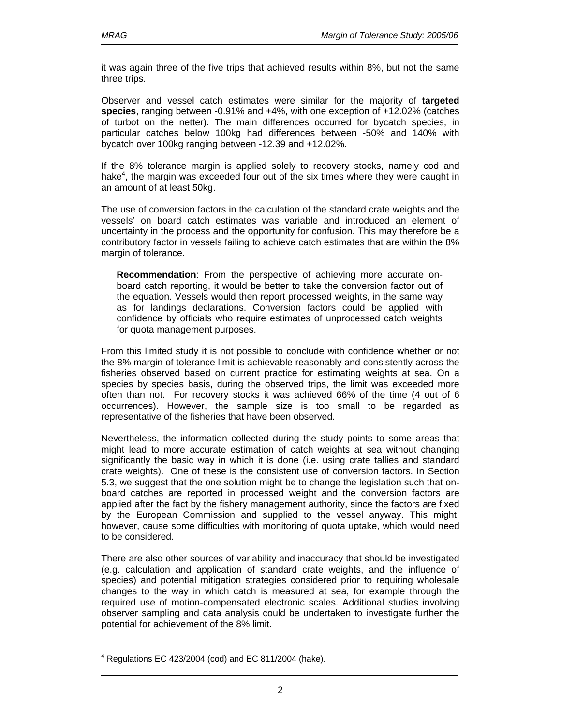it was again three of the five trips that achieved results within 8%, but not the same three trips.

Observer and vessel catch estimates were similar for the majority of **targeted species**, ranging between -0.91% and +4%, with one exception of +12.02% (catches of turbot on the netter). The main differences occurred for bycatch species, in particular catches below 100kg had differences between -50% and 140% with bycatch over 100kg ranging between -12.39 and +12.02%.

If the 8% tolerance margin is applied solely to recovery stocks, namely cod and hake<sup>4</sup>, the margin was exceeded four out of the six times where they were caught in an amount of at least 50kg.

The use of conversion factors in the calculation of the standard crate weights and the vessels' on board catch estimates was variable and introduced an element of uncertainty in the process and the opportunity for confusion. This may therefore be a contributory factor in vessels failing to achieve catch estimates that are within the 8% margin of tolerance.

**Recommendation**: From the perspective of achieving more accurate onboard catch reporting, it would be better to take the conversion factor out of the equation. Vessels would then report processed weights, in the same way as for landings declarations. Conversion factors could be applied with confidence by officials who require estimates of unprocessed catch weights for quota management purposes.

From this limited study it is not possible to conclude with confidence whether or not the 8% margin of tolerance limit is achievable reasonably and consistently across the fisheries observed based on current practice for estimating weights at sea. On a species by species basis, during the observed trips, the limit was exceeded more often than not. For recovery stocks it was achieved 66% of the time (4 out of 6 occurrences). However, the sample size is too small to be regarded as representative of the fisheries that have been observed.

Nevertheless, the information collected during the study points to some areas that might lead to more accurate estimation of catch weights at sea without changing significantly the basic way in which it is done (i.e. using crate tallies and standard crate weights). One of these is the consistent use of conversion factors. In Section 5.3, we suggest that the one solution might be to change the legislation such that onboard catches are reported in processed weight and the conversion factors are applied after the fact by the fishery management authority, since the factors are fixed by the European Commission and supplied to the vessel anyway. This might, however, cause some difficulties with monitoring of quota uptake, which would need to be considered.

There are also other sources of variability and inaccuracy that should be investigated (e.g. calculation and application of standard crate weights, and the influence of species) and potential mitigation strategies considered prior to requiring wholesale changes to the way in which catch is measured at sea, for example through the required use of motion-compensated electronic scales. Additional studies involving observer sampling and data analysis could be undertaken to investigate further the potential for achievement of the 8% limit.

l  $4$  Regulations EC 423/2004 (cod) and EC 811/2004 (hake).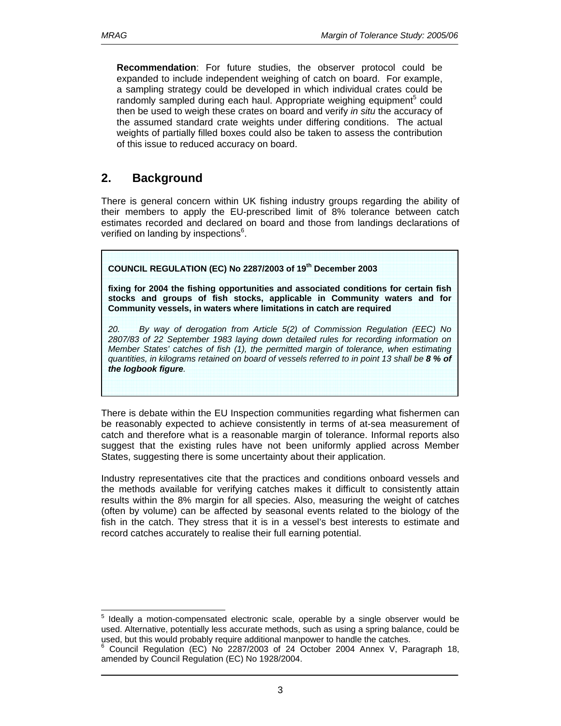**Recommendation**: For future studies, the observer protocol could be expanded to include independent weighing of catch on board. For example, a sampling strategy could be developed in which individual crates could be randomly sampled during each haul. Appropriate weighing equipment<sup>5</sup> could then be used to weigh these crates on board and verify *in situ* the accuracy of the assumed standard crate weights under differing conditions. The actual weights of partially filled boxes could also be taken to assess the contribution of this issue to reduced accuracy on board.

# **2. Background**

There is general concern within UK fishing industry groups regarding the ability of their members to apply the EU-prescribed limit of 8% tolerance between catch estimates recorded and declared on board and those from landings declarations of verified on landing by inspections<sup>6</sup>.

**COUNCIL REGULATION (EC) No 2287/2003 of 19th December 2003** 

**fixing for 2004 the fishing opportunities and associated conditions for certain fish stocks and groups of fish stocks, applicable in Community waters and for Community vessels, in waters where limitations in catch are required**

*20. By way of derogation from Article 5(2) of Commission Regulation (EEC) No 2807/83 of 22 September 1983 laying down detailed rules for recording information on Member States' catches of fish (1), the permitted margin of tolerance, when estimating quantities, in kilograms retained on board of vessels referred to in point 13 shall be 8 % of the logbook figure.* 

There is debate within the EU Inspection communities regarding what fishermen can be reasonably expected to achieve consistently in terms of at-sea measurement of catch and therefore what is a reasonable margin of tolerance. Informal reports also suggest that the existing rules have not been uniformly applied across Member States, suggesting there is some uncertainty about their application.

Industry representatives cite that the practices and conditions onboard vessels and the methods available for verifying catches makes it difficult to consistently attain results within the 8% margin for all species. Also, measuring the weight of catches (often by volume) can be affected by seasonal events related to the biology of the fish in the catch. They stress that it is in a vessel's best interests to estimate and record catches accurately to realise their full earning potential.

l 5 Ideally a motion-compensated electronic scale, operable by a single observer would be used. Alternative, potentially less accurate methods, such as using a spring balance, could be used, but this would probably require additional manpower to handle the catches.

<sup>&</sup>lt;sup>6</sup> Council Regulation (EC) No 2287/2003 of 24 October 2004 Annex V, Paragraph 18, amended by Council Regulation (EC) No 1928/2004.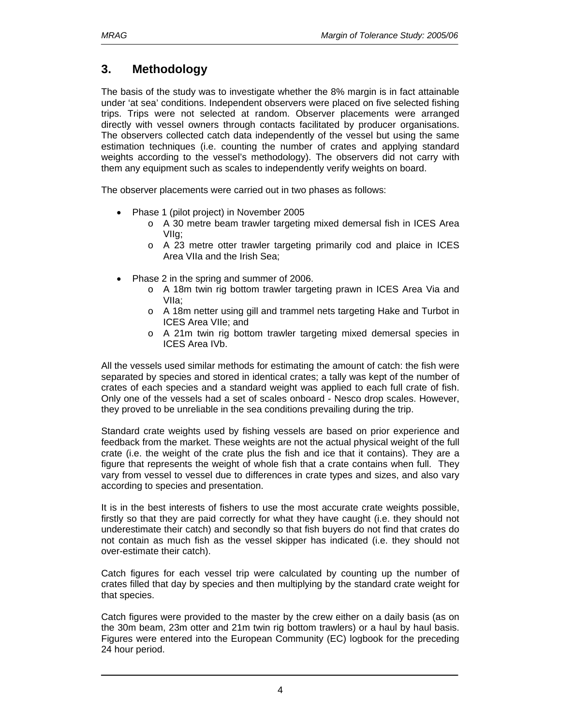# **3. Methodology**

The basis of the study was to investigate whether the 8% margin is in fact attainable under 'at sea' conditions. Independent observers were placed on five selected fishing trips. Trips were not selected at random. Observer placements were arranged directly with vessel owners through contacts facilitated by producer organisations. The observers collected catch data independently of the vessel but using the same estimation techniques (i.e. counting the number of crates and applying standard weights according to the vessel's methodology). The observers did not carry with them any equipment such as scales to independently verify weights on board.

The observer placements were carried out in two phases as follows:

- Phase 1 (pilot project) in November 2005
	- o A 30 metre beam trawler targeting mixed demersal fish in ICES Area VIIg;
	- o A 23 metre otter trawler targeting primarily cod and plaice in ICES Area VIIa and the Irish Sea;
- Phase 2 in the spring and summer of 2006.
	- o A 18m twin rig bottom trawler targeting prawn in ICES Area Via and VIIa;
	- o A 18m netter using gill and trammel nets targeting Hake and Turbot in ICES Area VIIe; and
	- o A 21m twin rig bottom trawler targeting mixed demersal species in ICES Area IVb.

All the vessels used similar methods for estimating the amount of catch: the fish were separated by species and stored in identical crates; a tally was kept of the number of crates of each species and a standard weight was applied to each full crate of fish. Only one of the vessels had a set of scales onboard - Nesco drop scales. However, they proved to be unreliable in the sea conditions prevailing during the trip.

Standard crate weights used by fishing vessels are based on prior experience and feedback from the market. These weights are not the actual physical weight of the full crate (i.e. the weight of the crate plus the fish and ice that it contains). They are a figure that represents the weight of whole fish that a crate contains when full. They vary from vessel to vessel due to differences in crate types and sizes, and also vary according to species and presentation.

It is in the best interests of fishers to use the most accurate crate weights possible, firstly so that they are paid correctly for what they have caught (i.e. they should not underestimate their catch) and secondly so that fish buyers do not find that crates do not contain as much fish as the vessel skipper has indicated (i.e. they should not over-estimate their catch).

Catch figures for each vessel trip were calculated by counting up the number of crates filled that day by species and then multiplying by the standard crate weight for that species.

Catch figures were provided to the master by the crew either on a daily basis (as on the 30m beam, 23m otter and 21m twin rig bottom trawlers) or a haul by haul basis. Figures were entered into the European Community (EC) logbook for the preceding 24 hour period.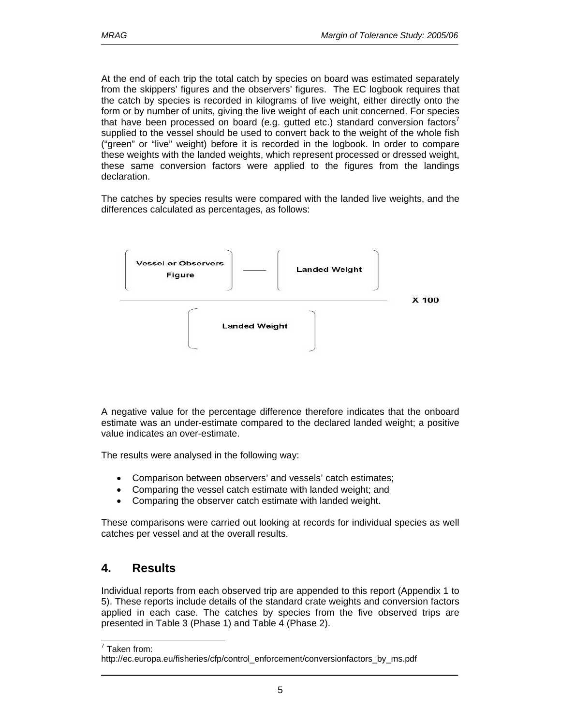At the end of each trip the total catch by species on board was estimated separately from the skippers' figures and the observers' figures. The EC logbook requires that the catch by species is recorded in kilograms of live weight, either directly onto the form or by number of units, giving the live weight of each unit concerned. For species that have been processed on board (e.g. gutted etc.) standard conversion factors' supplied to the vessel should be used to convert back to the weight of the whole fish ("green" or "live" weight) before it is recorded in the logbook. In order to compare these weights with the landed weights, which represent processed or dressed weight, these same conversion factors were applied to the figures from the landings declaration.

The catches by species results were compared with the landed live weights, and the differences calculated as percentages, as follows:



A negative value for the percentage difference therefore indicates that the onboard estimate was an under-estimate compared to the declared landed weight; a positive value indicates an over-estimate.

The results were analysed in the following way:

- Comparison between observers' and vessels' catch estimates;
- Comparing the vessel catch estimate with landed weight; and
- Comparing the observer catch estimate with landed weight.

These comparisons were carried out looking at records for individual species as well catches per vessel and at the overall results.

# **4. Results**

Individual reports from each observed trip are appended to this report (Appendix 1 to 5). These reports include details of the standard crate weights and conversion factors applied in each case. The catches by species from the five observed trips are presented in Table 3 (Phase 1) and Table 4 (Phase 2).

 $\overline{a}$ 7 Taken from:

http://ec.europa.eu/fisheries/cfp/control\_enforcement/conversionfactors\_by\_ms.pdf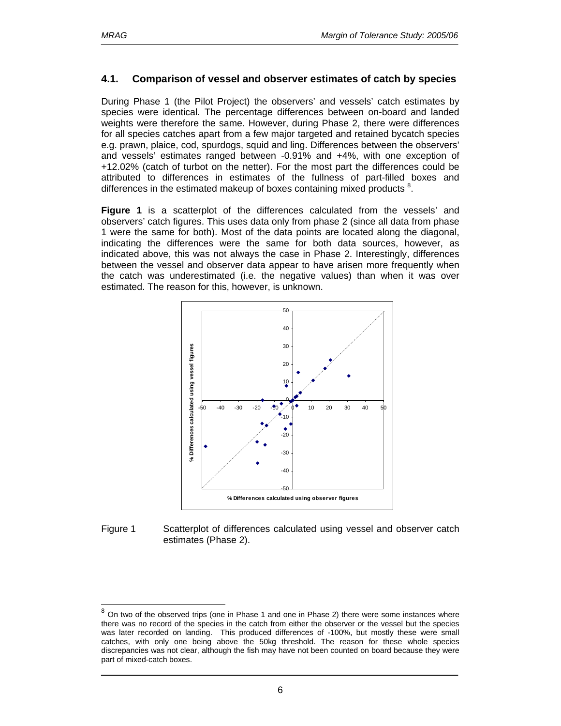$\overline{a}$ 

### **4.1. Comparison of vessel and observer estimates of catch by species**

During Phase 1 (the Pilot Project) the observers' and vessels' catch estimates by species were identical. The percentage differences between on-board and landed weights were therefore the same. However, during Phase 2, there were differences for all species catches apart from a few major targeted and retained bycatch species e.g. prawn, plaice, cod, spurdogs, squid and ling. Differences between the observers' and vessels' estimates ranged between -0.91% and +4%, with one exception of +12.02% (catch of turbot on the netter). For the most part the differences could be attributed to differences in estimates of the fullness of part-filled boxes and differences in the estimated makeup of boxes containing mixed products <sup>8</sup>.

**Figure 1** is a scatterplot of the differences calculated from the vessels' and observers' catch figures. This uses data only from phase 2 (since all data from phase 1 were the same for both). Most of the data points are located along the diagonal, indicating the differences were the same for both data sources, however, as indicated above, this was not always the case in Phase 2. Interestingly, differences between the vessel and observer data appear to have arisen more frequently when the catch was underestimated (i.e. the negative values) than when it was over estimated. The reason for this, however, is unknown.



#### Figure 1 Scatterplot of differences calculated using vessel and observer catch estimates (Phase 2).

 $8$  On two of the observed trips (one in Phase 1 and one in Phase 2) there were some instances where there was no record of the species in the catch from either the observer or the vessel but the species was later recorded on landing. This produced differences of -100%, but mostly these were small catches, with only one being above the 50kg threshold. The reason for these whole species discrepancies was not clear, although the fish may have not been counted on board because they were part of mixed-catch boxes.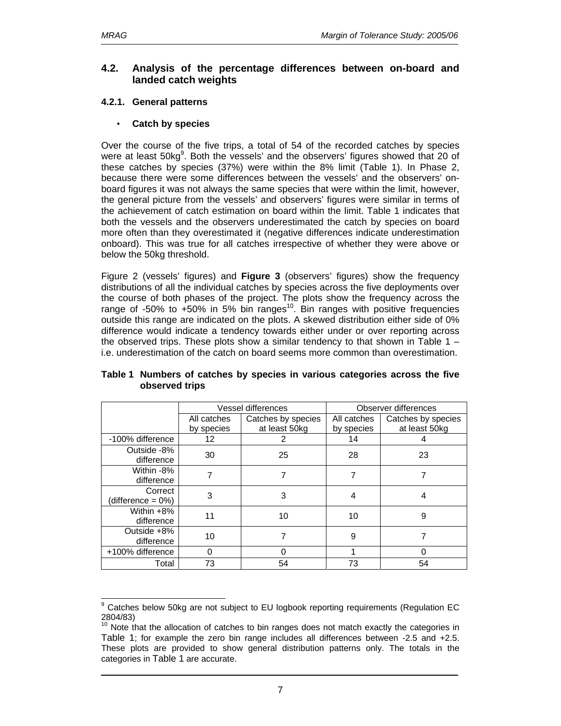### **4.2. Analysis of the percentage differences between on-board and landed catch weights**

### **4.2.1. General patterns**

### • **Catch by species**

Over the course of the five trips, a total of 54 of the recorded catches by species were at least  $50kg^9$ . Both the vessels' and the observers' figures showed that 20 of these catches by species (37%) were within the 8% limit (Table 1). In Phase 2, because there were some differences between the vessels' and the observers' onboard figures it was not always the same species that were within the limit, however, the general picture from the vessels' and observers' figures were similar in terms of the achievement of catch estimation on board within the limit. Table 1 indicates that both the vessels and the observers underestimated the catch by species on board more often than they overestimated it (negative differences indicate underestimation onboard). This was true for all catches irrespective of whether they were above or below the 50kg threshold.

Figure 2 (vessels' figures) and **Figure 3** (observers' figures) show the frequency distributions of all the individual catches by species across the five deployments over the course of both phases of the project. The plots show the frequency across the range of -50% to +50% in 5% bin ranges<sup>10</sup>. Bin ranges with positive frequencies outside this range are indicated on the plots. A skewed distribution either side of 0% difference would indicate a tendency towards either under or over reporting across the observed trips. These plots show a similar tendency to that shown in Table  $1$ i.e. underestimation of the catch on board seems more common than overestimation.

|                              |             | Vessel differences | Observer differences |                    |  |
|------------------------------|-------------|--------------------|----------------------|--------------------|--|
|                              | All catches | Catches by species | All catches          | Catches by species |  |
|                              | by species  | at least 50kg      | by species           | at least 50kg      |  |
| -100% difference             | 12          | 2                  | 14                   |                    |  |
| Outside -8%<br>difference    | 30          | 25                 | 28                   | 23                 |  |
| Within -8%<br>difference     | 7           | 7                  | 7                    |                    |  |
| Correct<br>(difference = 0%) | 3           | 3                  | 4                    | 4                  |  |
| Within +8%<br>difference     | 11          | 10                 | 10                   | 9                  |  |
| Outside +8%<br>difference    | 10          |                    | 9                    |                    |  |
| +100% difference             | 0           | 0                  |                      | 0                  |  |
| Total                        | 73          | 54                 | 73                   | 54                 |  |

### **Table 1 Numbers of catches by species in various categories across the five observed trips**

<sup>-&</sup>lt;br>9 Catches below 50kg are not subject to EU logbook reporting requirements (Regulation EC 2804/83)

 $10$  Note that the allocation of catches to bin ranges does not match exactly the categories in Table 1; for example the zero bin range includes all differences between -2.5 and +2.5. These plots are provided to show general distribution patterns only. The totals in the categories in Table 1 are accurate.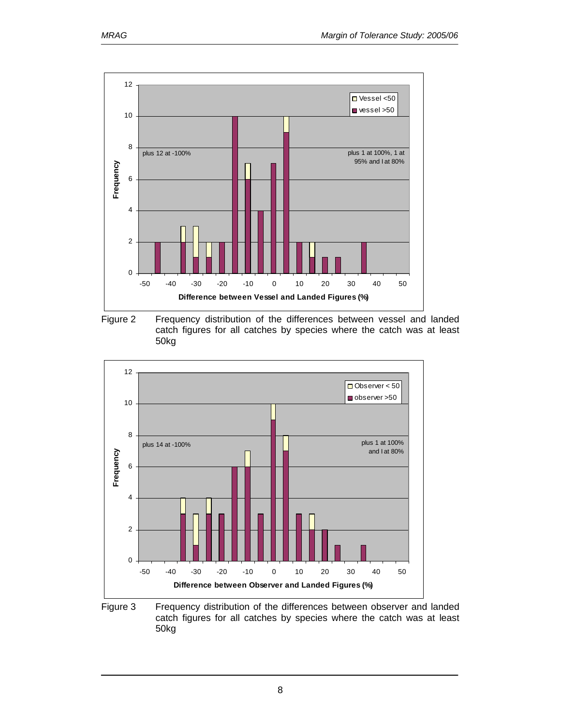

Figure 2 Frequency distribution of the differences between vessel and landed catch figures for all catches by species where the catch was at least 50kg



Figure 3 Frequency distribution of the differences between observer and landed catch figures for all catches by species where the catch was at least 50kg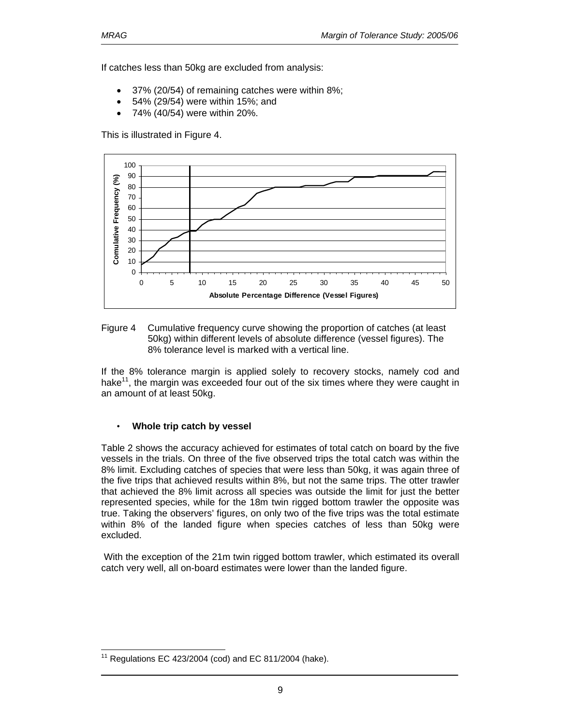If catches less than 50kg are excluded from analysis:

- 37% (20/54) of remaining catches were within 8%;
- 54% (29/54) were within 15%; and
- 74% (40/54) were within 20%.

This is illustrated in Figure 4.



Figure 4 Cumulative frequency curve showing the proportion of catches (at least 50kg) within different levels of absolute difference (vessel figures). The 8% tolerance level is marked with a vertical line.

If the 8% tolerance margin is applied solely to recovery stocks, namely cod and hake<sup>11</sup>, the margin was exceeded four out of the six times where they were caught in an amount of at least 50kg.

### • **Whole trip catch by vessel**

Table 2 shows the accuracy achieved for estimates of total catch on board by the five vessels in the trials. On three of the five observed trips the total catch was within the 8% limit. Excluding catches of species that were less than 50kg, it was again three of the five trips that achieved results within 8%, but not the same trips. The otter trawler that achieved the 8% limit across all species was outside the limit for just the better represented species, while for the 18m twin rigged bottom trawler the opposite was true. Taking the observers' figures, on only two of the five trips was the total estimate within 8% of the landed figure when species catches of less than 50kg were excluded.

 With the exception of the 21m twin rigged bottom trawler, which estimated its overall catch very well, all on-board estimates were lower than the landed figure.

 $\overline{a}$ Regulations EC 423/2004 (cod) and EC 811/2004 (hake).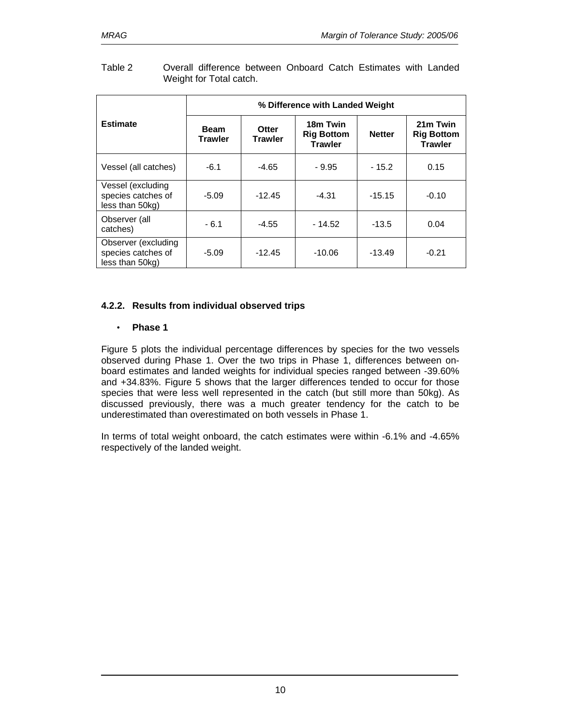|                                                              |                                                          | % Difference with Landed Weight |                                                 |               |                                                 |
|--------------------------------------------------------------|----------------------------------------------------------|---------------------------------|-------------------------------------------------|---------------|-------------------------------------------------|
| <b>Estimate</b>                                              | <b>Beam</b><br>Otter<br><b>Trawler</b><br><b>Trawler</b> |                                 | 18m Twin<br><b>Rig Bottom</b><br><b>Trawler</b> | <b>Netter</b> | 21m Twin<br><b>Rig Bottom</b><br><b>Trawler</b> |
| Vessel (all catches)                                         | $-6.1$                                                   | $-4.65$                         | $-9.95$                                         | $-15.2$       | 0.15                                            |
| Vessel (excluding<br>species catches of<br>less than 50kg)   | $-5.09$                                                  | $-12.45$                        | $-4.31$                                         | $-15.15$      | $-0.10$                                         |
| Observer (all<br>catches)                                    | $-6.1$                                                   | $-4.55$                         | $-14.52$                                        | $-13.5$       | 0.04                                            |
| Observer (excluding<br>species catches of<br>less than 50kg) | $-5.09$                                                  | $-12.45$                        | $-10.06$                                        | $-13.49$      | $-0.21$                                         |

#### Table 2 Overall difference between Onboard Catch Estimates with Landed Weight for Total catch.

### **4.2.2. Results from individual observed trips**

### • **Phase 1**

Figure 5 plots the individual percentage differences by species for the two vessels observed during Phase 1. Over the two trips in Phase 1, differences between onboard estimates and landed weights for individual species ranged between -39.60% and +34.83%. Figure 5 shows that the larger differences tended to occur for those species that were less well represented in the catch (but still more than 50kg). As discussed previously, there was a much greater tendency for the catch to be underestimated than overestimated on both vessels in Phase 1.

In terms of total weight onboard, the catch estimates were within -6.1% and -4.65% respectively of the landed weight.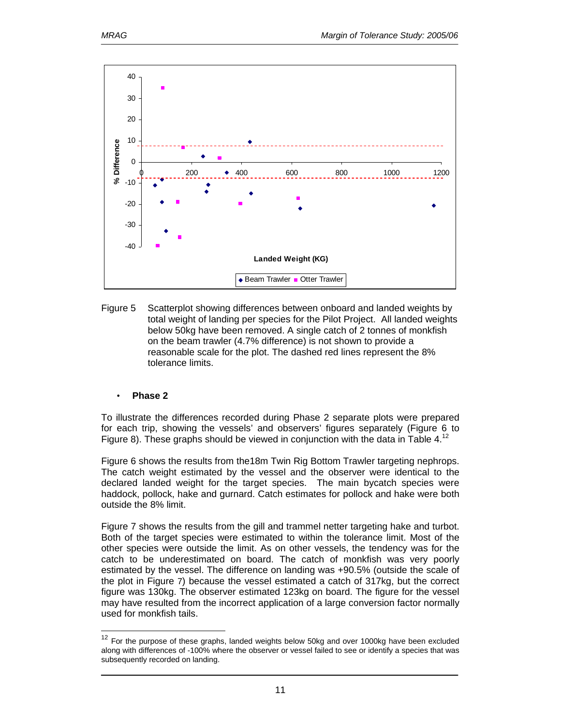

Figure 5 Scatterplot showing differences between onboard and landed weights by total weight of landing per species for the Pilot Project. All landed weights below 50kg have been removed. A single catch of 2 tonnes of monkfish on the beam trawler (4.7% difference) is not shown to provide a reasonable scale for the plot. The dashed red lines represent the 8% tolerance limits.

### • **Phase 2**

 $\overline{a}$ 

To illustrate the differences recorded during Phase 2 separate plots were prepared for each trip, showing the vessels' and observers' figures separately (Figure 6 to Figure 8). These graphs should be viewed in conjunction with the data in Table 4.<sup>12</sup>

Figure 6 shows the results from the18m Twin Rig Bottom Trawler targeting nephrops. The catch weight estimated by the vessel and the observer were identical to the declared landed weight for the target species. The main bycatch species were haddock, pollock, hake and gurnard. Catch estimates for pollock and hake were both outside the 8% limit.

Figure 7 shows the results from the gill and trammel netter targeting hake and turbot. Both of the target species were estimated to within the tolerance limit. Most of the other species were outside the limit. As on other vessels, the tendency was for the catch to be underestimated on board. The catch of monkfish was very poorly estimated by the vessel. The difference on landing was +90.5% (outside the scale of the plot in Figure 7) because the vessel estimated a catch of 317kg, but the correct figure was 130kg. The observer estimated 123kg on board. The figure for the vessel may have resulted from the incorrect application of a large conversion factor normally used for monkfish tails.

 $12$  For the purpose of these graphs, landed weights below 50kg and over 1000kg have been excluded along with differences of -100% where the observer or vessel failed to see or identify a species that was subsequently recorded on landing.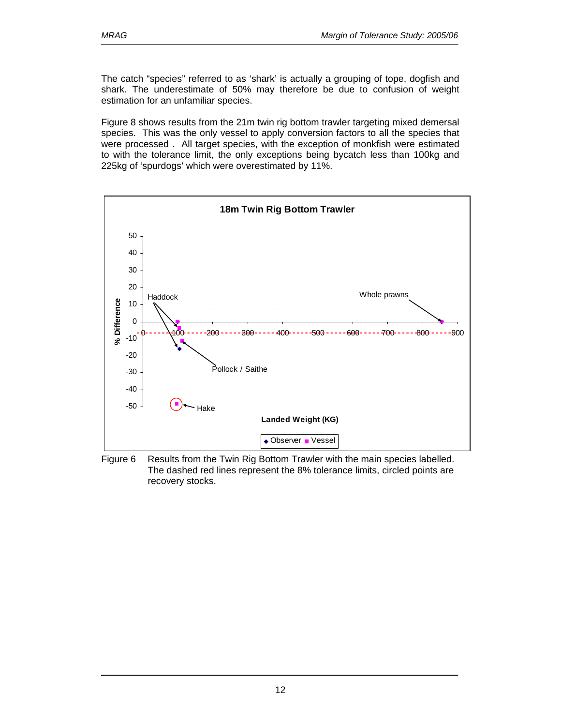The catch "species" referred to as 'shark' is actually a grouping of tope, dogfish and shark. The underestimate of 50% may therefore be due to confusion of weight estimation for an unfamiliar species.

Figure 8 shows results from the 21m twin rig bottom trawler targeting mixed demersal species. This was the only vessel to apply conversion factors to all the species that were processed . All target species, with the exception of monkfish were estimated to with the tolerance limit, the only exceptions being bycatch less than 100kg and 225kg of 'spurdogs' which were overestimated by 11%.



Figure 6 Results from the Twin Rig Bottom Trawler with the main species labelled. The dashed red lines represent the 8% tolerance limits, circled points are recovery stocks.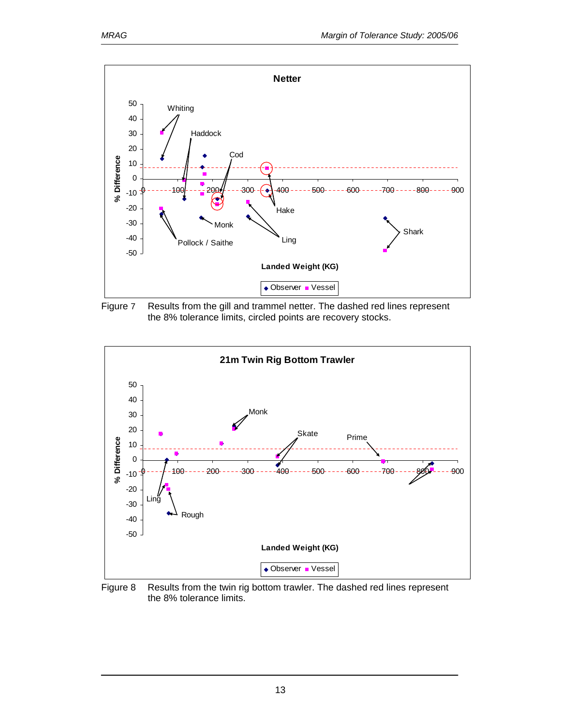





Figure 8 Results from the twin rig bottom trawler. The dashed red lines represent the 8% tolerance limits.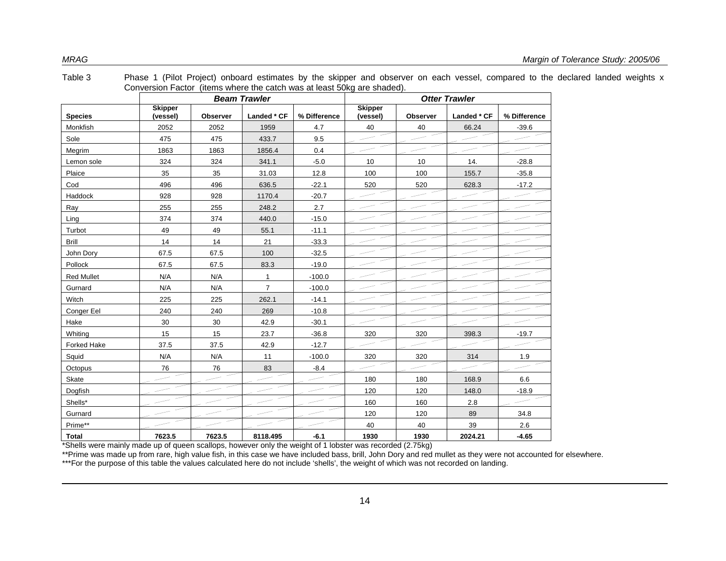|                    | Conversion Factor (items where the catch was at least 50kg are shaded). |                 |                     |              |                            |                 |             |              |  |
|--------------------|-------------------------------------------------------------------------|-----------------|---------------------|--------------|----------------------------|-----------------|-------------|--------------|--|
|                    |                                                                         |                 | <b>Beam Trawler</b> |              | <b>Otter Trawler</b>       |                 |             |              |  |
| <b>Species</b>     | <b>Skipper</b><br>(vessel)                                              | <b>Observer</b> | Landed * CF         | % Difference | <b>Skipper</b><br>(vessel) | <b>Observer</b> | Landed * CF | % Difference |  |
| Monkfish           | 2052                                                                    | 2052            | 1959                | 4.7          | 40                         | 40              | 66.24       | $-39.6$      |  |
| Sole               | 475                                                                     | 475             | 433.7               | 9.5          |                            |                 |             |              |  |
| Megrim             | 1863                                                                    | 1863            | 1856.4              | 0.4          |                            |                 |             |              |  |
| Lemon sole         | 324                                                                     | 324             | 341.1               | $-5.0$       | 10                         | 10              | 14.         | $-28.8$      |  |
| Plaice             | 35                                                                      | 35              | 31.03               | 12.8         | 100                        | 100             | 155.7       | $-35.8$      |  |
| Cod                | 496                                                                     | 496             | 636.5               | $-22.1$      | 520                        | 520             | 628.3       | $-17.2$      |  |
| Haddock            | 928                                                                     | 928             | 1170.4              | $-20.7$      |                            |                 |             |              |  |
| Ray                | 255                                                                     | 255             | 248.2               | 2.7          |                            |                 |             |              |  |
| Ling               | 374                                                                     | 374             | 440.0               | $-15.0$      |                            |                 |             |              |  |
| Turbot             | 49                                                                      | 49              | 55.1                | $-11.1$      |                            |                 |             |              |  |
| <b>Brill</b>       | 14                                                                      | 14              | 21                  | $-33.3$      |                            |                 |             |              |  |
| John Dory          | 67.5                                                                    | 67.5            | 100                 | $-32.5$      |                            |                 |             |              |  |
| Pollock            | 67.5                                                                    | 67.5            | 83.3                | $-19.0$      |                            |                 |             |              |  |
| <b>Red Mullet</b>  | N/A                                                                     | N/A             | $\mathbf{1}$        | $-100.0$     |                            |                 |             |              |  |
| Gurnard            | N/A                                                                     | N/A             | $\overline{7}$      | $-100.0$     |                            |                 |             |              |  |
| Witch              | 225                                                                     | 225             | 262.1               | $-14.1$      |                            |                 |             |              |  |
| Conger Eel         | 240                                                                     | 240             | 269                 | $-10.8$      |                            |                 |             |              |  |
| Hake               | 30                                                                      | 30              | 42.9                | $-30.1$      |                            |                 |             |              |  |
| Whiting            | 15                                                                      | 15              | 23.7                | $-36.8$      | 320                        | 320             | 398.3       | $-19.7$      |  |
| <b>Forked Hake</b> | 37.5                                                                    | 37.5            | 42.9                | $-12.7$      |                            |                 |             |              |  |
| Squid              | N/A                                                                     | N/A             | 11                  | $-100.0$     | 320                        | 320             | 314         | 1.9          |  |
| Octopus            | 76                                                                      | 76              | 83                  | $-8.4$       |                            |                 |             |              |  |
| Skate              |                                                                         |                 |                     |              | 180                        | 180             | 168.9       | 6.6          |  |
| Dogfish            |                                                                         |                 |                     |              | 120                        | 120             | 148.0       | $-18.9$      |  |
| Shells*            |                                                                         |                 |                     |              | 160                        | 160             | 2.8         |              |  |
| Gurnard            |                                                                         |                 |                     |              | 120                        | 120             | 89          | 34.8         |  |
| Prime**            |                                                                         |                 |                     |              | 40                         | 40              | 39          | 2.6          |  |
| Total              | 7623.5                                                                  | 7623.5          | 8118.495            | $-6.1$       | 1930                       | 1930            | 2024.21     | $-4.65$      |  |

Table 3 Phase 1 (Pilot Project) onboard estimates by the skipper and observer on each vessel, compared to the declared landed weights x Conversion Factor (items where the catch was at least 50kg are shaded).

\*Shells were mainly made up of queen scallops, however only the weight of 1 lobster was recorded (2.75kg)

\*\*Prime was made up from rare, high value fish, in this case we have included bass, brill, John Dory and red mullet as they were not accounted for elsewhere.

\*\*\*For the purpose of this table the values calculated here do not include 'shells', the weight of which was not recorded on landing.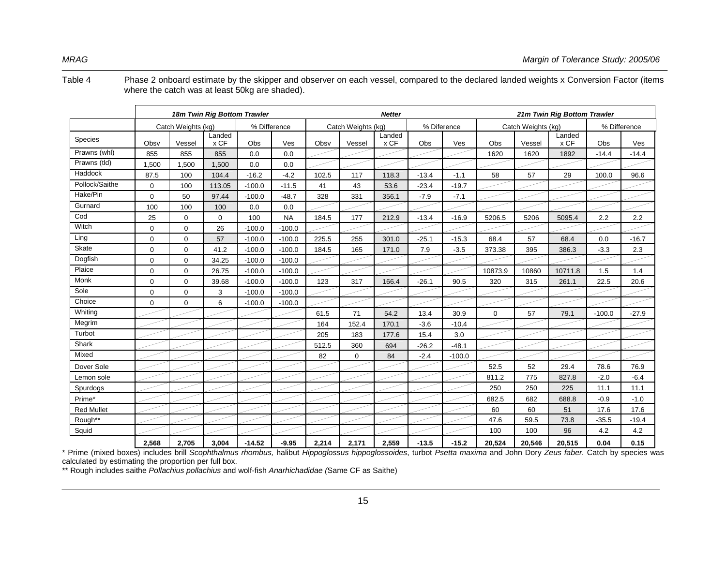Table 4 Phase 2 onboard estimate by the skipper and observer on each vessel, compared to the declared landed weights x Conversion Factor (items where the catch was at least 50kg are shaded).

|                   | 18m Twin Rig Bottom Trawler<br><b>Netter</b> |                    |                |              |           |       | 21m Twin Rig Bottom Trawler |                |             |          |             |                    |                |          |              |
|-------------------|----------------------------------------------|--------------------|----------------|--------------|-----------|-------|-----------------------------|----------------|-------------|----------|-------------|--------------------|----------------|----------|--------------|
|                   |                                              | Catch Weights (kg) |                | % Difference |           |       | Catch Weights (kg)          |                | % Diference |          |             | Catch Weights (kg) |                |          | % Difference |
| <b>Species</b>    | Obsv                                         | Vessel             | Landed<br>x CF | Obs          | Ves       | Obsv  | Vessel                      | Landed<br>x CF | Obs         | Ves      | Obs         | Vessel             | Landed<br>x CF | Obs      | Ves          |
| Prawns (whl)      | 855                                          | 855                | 855            | 0.0          | 0.0       |       |                             |                |             |          | 1620        | 1620               | 1892           | $-14.4$  | $-14.4$      |
| Prawns (tld)      | 1,500                                        | 1.500              | 1.500          | 0.0          | 0.0       |       |                             |                |             |          |             |                    |                |          |              |
| Haddock           | 87.5                                         | 100                | 104.4          | $-16.2$      | $-4.2$    | 102.5 | 117                         | 118.3          | $-13.4$     | $-1.1$   | 58          | 57                 | 29             | 100.0    | 96.6         |
| Pollock/Saithe    | $\mathbf 0$                                  | 100                | 113.05         | $-100.0$     | $-11.5$   | 41    | 43                          | 53.6           | $-23.4$     | $-19.7$  |             |                    |                |          |              |
| Hake/Pin          | $\mathbf 0$                                  | 50                 | 97.44          | $-100.0$     | $-48.7$   | 328   | 331                         | 356.1          | $-7.9$      | $-7.1$   |             |                    |                |          |              |
| Gurnard           | 100                                          | 100                | 100            | 0.0          | 0.0       |       |                             |                |             |          |             |                    |                |          |              |
| Cod               | 25                                           | $\mathbf 0$        | $\mathbf 0$    | 100          | <b>NA</b> | 184.5 | 177                         | 212.9          | $-13.4$     | $-16.9$  | 5206.5      | 5206               | 5095.4         | 2.2      | 2.2          |
| Witch             | $\mathbf 0$                                  | $\mathbf 0$        | 26             | $-100.0$     | $-100.0$  |       |                             |                |             |          |             |                    |                |          |              |
| Ling              | $\mathbf 0$                                  | $\Omega$           | 57             | $-100.0$     | $-100.0$  | 225.5 | 255                         | 301.0          | $-25.1$     | $-15.3$  | 68.4        | 57                 | 68.4           | 0.0      | $-16.7$      |
| Skate             | $\mathbf 0$                                  | $\mathbf 0$        | 41.2           | $-100.0$     | $-100.0$  | 184.5 | 165                         | 171.0          | 7.9         | $-3.5$   | 373.38      | 395                | 386.3          | $-3.3$   | 2.3          |
| Dogfish           | $\mathbf 0$                                  | $\Omega$           | 34.25          | $-100.0$     | $-100.0$  |       |                             |                |             |          |             |                    |                |          |              |
| Plaice            | $\mathbf 0$                                  | $\mathbf 0$        | 26.75          | $-100.0$     | $-100.0$  |       |                             |                |             |          | 10873.9     | 10860              | 10711.8        | 1.5      | 1.4          |
| Monk              | $\mathbf 0$                                  | $\mathbf 0$        | 39.68          | $-100.0$     | $-100.0$  | 123   | 317                         | 166.4          | $-26.1$     | 90.5     | 320         | 315                | 261.1          | 22.5     | 20.6         |
| Sole              | $\mathbf 0$                                  | $\Omega$           | 3              | $-100.0$     | $-100.0$  |       |                             |                |             |          |             |                    |                |          |              |
| Choice            | $\mathbf 0$                                  | $\mathbf 0$        | 6              | $-100.0$     | $-100.0$  |       |                             |                |             |          |             |                    |                |          |              |
| Whiting           |                                              |                    |                |              |           | 61.5  | 71                          | 54.2           | 13.4        | 30.9     | $\mathbf 0$ | 57                 | 79.1           | $-100.0$ | $-27.9$      |
| Megrim            |                                              |                    |                |              |           | 164   | 152.4                       | 170.1          | $-3.6$      | $-10.4$  |             |                    |                |          |              |
| Turbot            |                                              |                    |                |              |           | 205   | 183                         | 177.6          | 15.4        | 3.0      |             |                    |                |          |              |
| Shark             |                                              |                    |                |              |           | 512.5 | 360                         | 694            | $-26.2$     | $-48.1$  |             |                    |                |          |              |
| Mixed             |                                              |                    |                |              |           | 82    | $\mathbf 0$                 | 84             | $-2.4$      | $-100.0$ |             |                    |                |          |              |
| Dover Sole        |                                              |                    |                |              |           |       |                             |                |             |          | 52.5        | 52                 | 29.4           | 78.6     | 76.9         |
| Lemon sole        |                                              |                    |                |              |           |       |                             |                |             |          | 811.2       | 775                | 827.8          | $-2.0$   | $-6.4$       |
| Spurdogs          |                                              |                    |                |              |           |       |                             |                |             |          | 250         | 250                | 225            | 11.1     | 11.1         |
| Prime*            |                                              |                    |                |              |           |       |                             |                |             |          | 682.5       | 682                | 688.8          | $-0.9$   | $-1.0$       |
| <b>Red Mullet</b> |                                              |                    |                |              |           |       |                             |                |             |          | 60          | 60                 | 51             | 17.6     | 17.6         |
| Rough**           |                                              |                    |                |              |           |       |                             |                |             |          | 47.6        | 59.5               | 73.8           | $-35.5$  | $-19.4$      |
| Squid             |                                              |                    |                |              |           |       |                             |                |             |          | 100         | 100                | 96             | 4.2      | 4.2          |
|                   | 2.568                                        | 2.705              | 3.004          | $-14.52$     | $-9.95$   | 2.214 | 2.171                       | 2,559          | $-13.5$     | $-15.2$  | 20.524      | 20,546             | 20,515         | 0.04     | 0.15         |

\* Prime (mixed boxes) includes brill *Scophthalmus rhombus,* halibut *Hippoglossus hippoglossoides*, turbot *Psetta maxima* and John Dory *Zeus faber.* Catch by species was calculated by estimating the proportion per full box.

\*\* Rough includes saithe *Pollachius pollachius* and wolf-fish *Anarhichadidae (*Same CF as Saithe)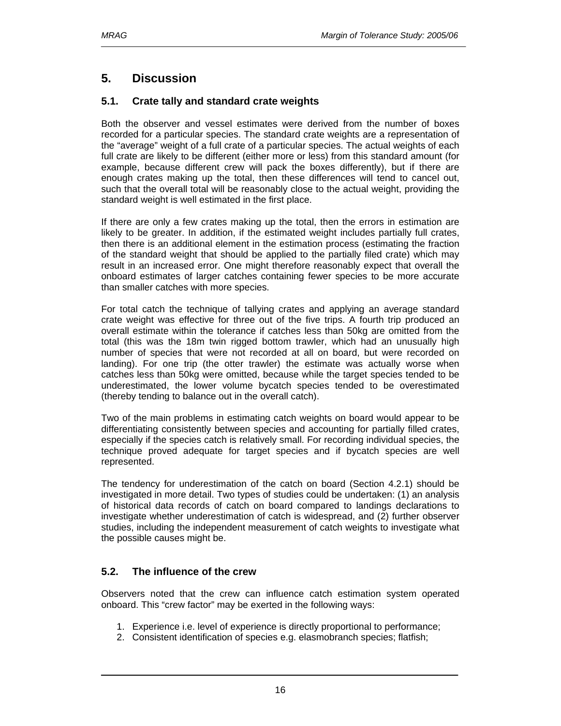# **5. Discussion**

### **5.1. Crate tally and standard crate weights**

Both the observer and vessel estimates were derived from the number of boxes recorded for a particular species. The standard crate weights are a representation of the "average" weight of a full crate of a particular species. The actual weights of each full crate are likely to be different (either more or less) from this standard amount (for example, because different crew will pack the boxes differently), but if there are enough crates making up the total, then these differences will tend to cancel out, such that the overall total will be reasonably close to the actual weight, providing the standard weight is well estimated in the first place.

If there are only a few crates making up the total, then the errors in estimation are likely to be greater. In addition, if the estimated weight includes partially full crates, then there is an additional element in the estimation process (estimating the fraction of the standard weight that should be applied to the partially filed crate) which may result in an increased error. One might therefore reasonably expect that overall the onboard estimates of larger catches containing fewer species to be more accurate than smaller catches with more species.

For total catch the technique of tallying crates and applying an average standard crate weight was effective for three out of the five trips. A fourth trip produced an overall estimate within the tolerance if catches less than 50kg are omitted from the total (this was the 18m twin rigged bottom trawler, which had an unusually high number of species that were not recorded at all on board, but were recorded on landing). For one trip (the otter trawler) the estimate was actually worse when catches less than 50kg were omitted, because while the target species tended to be underestimated, the lower volume bycatch species tended to be overestimated (thereby tending to balance out in the overall catch).

Two of the main problems in estimating catch weights on board would appear to be differentiating consistently between species and accounting for partially filled crates, especially if the species catch is relatively small. For recording individual species, the technique proved adequate for target species and if bycatch species are well represented.

The tendency for underestimation of the catch on board (Section 4.2.1) should be investigated in more detail. Two types of studies could be undertaken: (1) an analysis of historical data records of catch on board compared to landings declarations to investigate whether underestimation of catch is widespread, and (2) further observer studies, including the independent measurement of catch weights to investigate what the possible causes might be.

### **5.2. The influence of the crew**

Observers noted that the crew can influence catch estimation system operated onboard. This "crew factor" may be exerted in the following ways:

- 1. Experience i.e. level of experience is directly proportional to performance;
- 2. Consistent identification of species e.g. elasmobranch species; flatfish;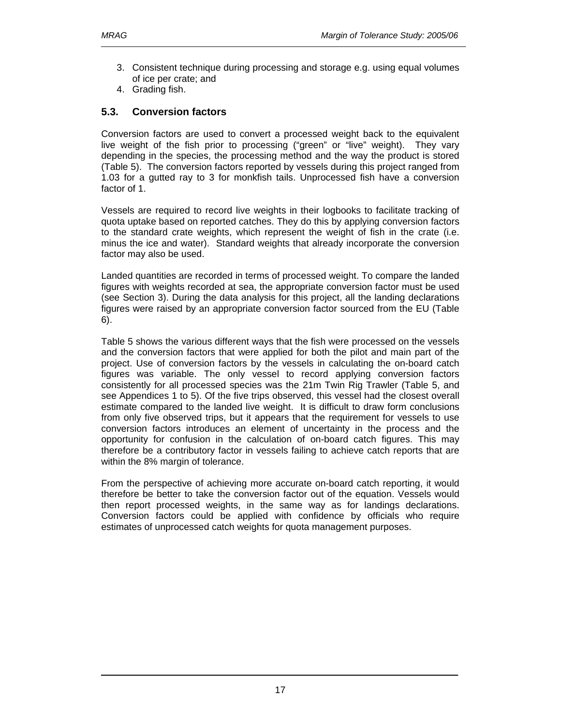- 3. Consistent technique during processing and storage e.g. using equal volumes of ice per crate; and
- 4. Grading fish.

### **5.3. Conversion factors**

Conversion factors are used to convert a processed weight back to the equivalent live weight of the fish prior to processing ("green" or "live" weight). They vary depending in the species, the processing method and the way the product is stored (Table 5). The conversion factors reported by vessels during this project ranged from 1.03 for a gutted ray to 3 for monkfish tails. Unprocessed fish have a conversion factor of 1.

Vessels are required to record live weights in their logbooks to facilitate tracking of quota uptake based on reported catches. They do this by applying conversion factors to the standard crate weights, which represent the weight of fish in the crate (i.e. minus the ice and water). Standard weights that already incorporate the conversion factor may also be used.

Landed quantities are recorded in terms of processed weight. To compare the landed figures with weights recorded at sea, the appropriate conversion factor must be used (see Section 3). During the data analysis for this project, all the landing declarations figures were raised by an appropriate conversion factor sourced from the EU (Table 6).

Table 5 shows the various different ways that the fish were processed on the vessels and the conversion factors that were applied for both the pilot and main part of the project. Use of conversion factors by the vessels in calculating the on-board catch figures was variable. The only vessel to record applying conversion factors consistently for all processed species was the 21m Twin Rig Trawler (Table 5, and see Appendices 1 to 5). Of the five trips observed, this vessel had the closest overall estimate compared to the landed live weight. It is difficult to draw form conclusions from only five observed trips, but it appears that the requirement for vessels to use conversion factors introduces an element of uncertainty in the process and the opportunity for confusion in the calculation of on-board catch figures. This may therefore be a contributory factor in vessels failing to achieve catch reports that are within the 8% margin of tolerance.

From the perspective of achieving more accurate on-board catch reporting, it would therefore be better to take the conversion factor out of the equation. Vessels would then report processed weights, in the same way as for landings declarations. Conversion factors could be applied with confidence by officials who require estimates of unprocessed catch weights for quota management purposes.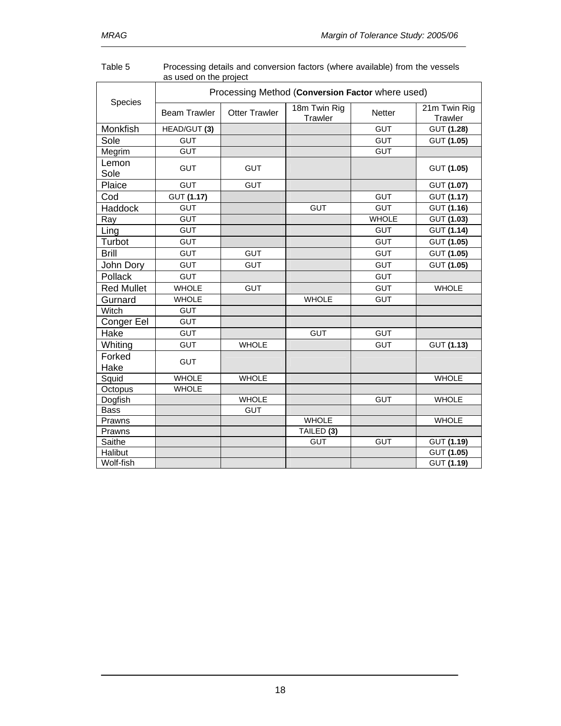|                   |                     | Processing Method (Conversion Factor where used) |                         |               |                         |  |  |  |  |  |  |  |
|-------------------|---------------------|--------------------------------------------------|-------------------------|---------------|-------------------------|--|--|--|--|--|--|--|
| Species           | <b>Beam Trawler</b> | <b>Otter Trawler</b>                             | 18m Twin Rig<br>Trawler | <b>Netter</b> | 21m Twin Rig<br>Trawler |  |  |  |  |  |  |  |
| Monkfish          | HEAD/GUT (3)        |                                                  |                         | <b>GUT</b>    | GUT (1.28)              |  |  |  |  |  |  |  |
| Sole              | <b>GUT</b>          |                                                  |                         | <b>GUT</b>    | GUT (1.05)              |  |  |  |  |  |  |  |
| Megrim            | <b>GUT</b>          |                                                  |                         | <b>GUT</b>    |                         |  |  |  |  |  |  |  |
| Lemon<br>Sole     | <b>GUT</b>          | <b>GUT</b>                                       |                         |               | GUT (1.05)              |  |  |  |  |  |  |  |
| Plaice            | <b>GUT</b>          | <b>GUT</b>                                       |                         |               | GUT (1.07)              |  |  |  |  |  |  |  |
| Cod               | GUT (1.17)          |                                                  |                         | <b>GUT</b>    | GUT (1.17)              |  |  |  |  |  |  |  |
| <b>Haddock</b>    | <b>GUT</b>          |                                                  | <b>GUT</b>              | <b>GUT</b>    | GUT (1.16)              |  |  |  |  |  |  |  |
| Ray               | <b>GUT</b>          |                                                  |                         | <b>WHOLE</b>  | GUT (1.03)              |  |  |  |  |  |  |  |
| Ling              | <b>GUT</b>          |                                                  |                         | <b>GUT</b>    | GUT (1.14)              |  |  |  |  |  |  |  |
| Turbot            | <b>GUT</b>          |                                                  |                         | <b>GUT</b>    | GUT (1.05)              |  |  |  |  |  |  |  |
| <b>Brill</b>      | <b>GUT</b>          | <b>GUT</b>                                       |                         | <b>GUT</b>    | GUT (1.05)              |  |  |  |  |  |  |  |
| John Dory         | <b>GUT</b>          | <b>GUT</b>                                       |                         | <b>GUT</b>    | GUT (1.05)              |  |  |  |  |  |  |  |
| Pollack           | <b>GUT</b>          |                                                  |                         | <b>GUT</b>    |                         |  |  |  |  |  |  |  |
| <b>Red Mullet</b> | <b>WHOLE</b>        | <b>GUT</b>                                       |                         | <b>GUT</b>    | <b>WHOLE</b>            |  |  |  |  |  |  |  |
| Gurnard           | <b>WHOLE</b>        |                                                  | <b>WHOLE</b>            | <b>GUT</b>    |                         |  |  |  |  |  |  |  |
| Witch             | <b>GUT</b>          |                                                  |                         |               |                         |  |  |  |  |  |  |  |
| Conger Eel        | <b>GUT</b>          |                                                  |                         |               |                         |  |  |  |  |  |  |  |
| Hake              | <b>GUT</b>          |                                                  | <b>GUT</b>              | <b>GUT</b>    |                         |  |  |  |  |  |  |  |
| Whiting           | <b>GUT</b>          | <b>WHOLE</b>                                     |                         | <b>GUT</b>    | GUT (1.13)              |  |  |  |  |  |  |  |
| Forked<br>Hake    | <b>GUT</b>          |                                                  |                         |               |                         |  |  |  |  |  |  |  |
| Squid             | <b>WHOLE</b>        | <b>WHOLE</b>                                     |                         |               | <b>WHOLE</b>            |  |  |  |  |  |  |  |
| Octopus           | <b>WHOLE</b>        |                                                  |                         |               |                         |  |  |  |  |  |  |  |
| Dogfish           |                     | <b>WHOLE</b>                                     |                         | <b>GUT</b>    | <b>WHOLE</b>            |  |  |  |  |  |  |  |
| <b>Bass</b>       |                     | <b>GUT</b>                                       |                         |               |                         |  |  |  |  |  |  |  |
| Prawns            |                     |                                                  | <b>WHOLE</b>            |               | <b>WHOLE</b>            |  |  |  |  |  |  |  |
| Prawns            |                     |                                                  | TAILED (3)              |               |                         |  |  |  |  |  |  |  |
| Saithe            |                     |                                                  | <b>GUT</b>              | <b>GUT</b>    | GUT (1.19)              |  |  |  |  |  |  |  |
| Halibut           |                     |                                                  |                         |               | GUT (1.05)              |  |  |  |  |  |  |  |
| Wolf-fish         |                     |                                                  |                         |               | GUT (1.19)              |  |  |  |  |  |  |  |

| Table 5 | Processing details and conversion factors (where available) from the vessels |
|---------|------------------------------------------------------------------------------|
|         | as used on the project                                                       |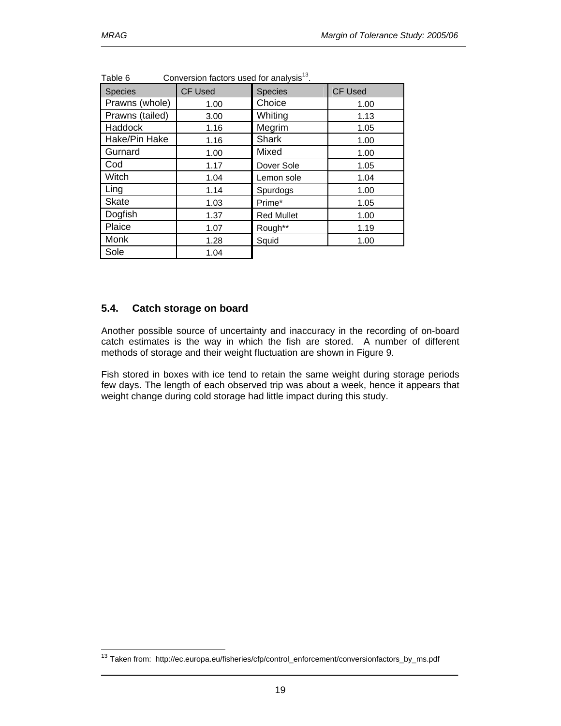$\overline{a}$ 

| able 6<br>CONVERSION RECIOIS USED TOR ANAlySIS. |                |                   |                |  |  |  |  |  |
|-------------------------------------------------|----------------|-------------------|----------------|--|--|--|--|--|
| <b>Species</b>                                  | <b>CF Used</b> | <b>Species</b>    | <b>CF Used</b> |  |  |  |  |  |
| Prawns (whole)                                  | 1.00           | Choice            | 1.00           |  |  |  |  |  |
| Prawns (tailed)                                 | 3.00           | Whiting           | 1.13           |  |  |  |  |  |
| Haddock                                         | 1.16           | Megrim            | 1.05           |  |  |  |  |  |
| Hake/Pin Hake                                   | 1.16           | <b>Shark</b>      | 1.00           |  |  |  |  |  |
| Gurnard                                         | 1.00           | Mixed             | 1.00           |  |  |  |  |  |
| Cod                                             | 1.17           | Dover Sole        | 1.05           |  |  |  |  |  |
| Witch                                           | 1.04           | Lemon sole        | 1.04           |  |  |  |  |  |
| Ling                                            | 1.14           | Spurdogs          | 1.00           |  |  |  |  |  |
| Skate                                           | 1.03           | Prime*            | 1.05           |  |  |  |  |  |
| Dogfish                                         | 1.37           | <b>Red Mullet</b> | 1.00           |  |  |  |  |  |
| Plaice                                          | 1.07           | Rough**           | 1.19           |  |  |  |  |  |
| Monk                                            | 1.28           | Squid             | 1.00           |  |  |  |  |  |
| Sole                                            | 1.04           |                   |                |  |  |  |  |  |

Table 6  $\sim$  Conversion factors used for analysis<sup>13</sup>

### **5.4. Catch storage on board**

Another possible source of uncertainty and inaccuracy in the recording of on-board catch estimates is the way in which the fish are stored. A number of different methods of storage and their weight fluctuation are shown in Figure 9.

Fish stored in boxes with ice tend to retain the same weight during storage periods few days. The length of each observed trip was about a week, hence it appears that weight change during cold storage had little impact during this study.

<sup>&</sup>lt;sup>13</sup> Taken from: http://ec.europa.eu/fisheries/cfp/control\_enforcement/conversionfactors\_by\_ms.pdf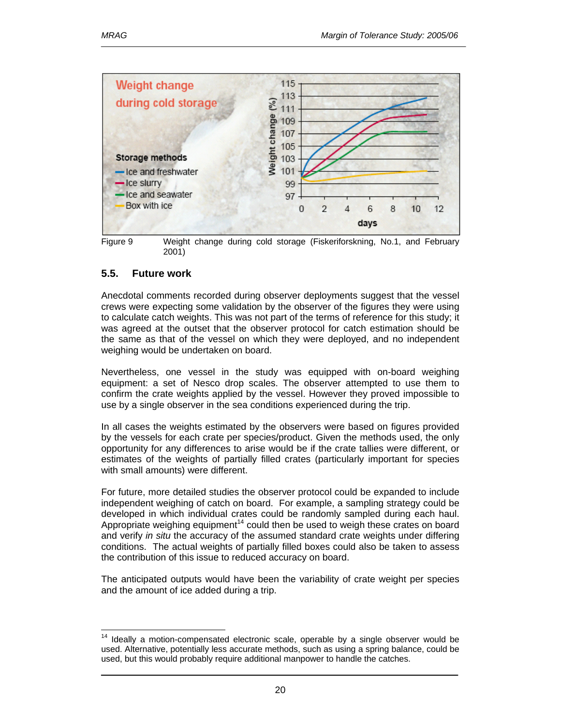

Figure 9 Weight change during cold storage (Fiskeriforskning, No.1, and February 2001)

### **5.5. Future work**

Anecdotal comments recorded during observer deployments suggest that the vessel crews were expecting some validation by the observer of the figures they were using to calculate catch weights. This was not part of the terms of reference for this study; it was agreed at the outset that the observer protocol for catch estimation should be the same as that of the vessel on which they were deployed, and no independent weighing would be undertaken on board.

Nevertheless, one vessel in the study was equipped with on-board weighing equipment: a set of Nesco drop scales. The observer attempted to use them to confirm the crate weights applied by the vessel. However they proved impossible to use by a single observer in the sea conditions experienced during the trip.

In all cases the weights estimated by the observers were based on figures provided by the vessels for each crate per species/product. Given the methods used, the only opportunity for any differences to arise would be if the crate tallies were different, or estimates of the weights of partially filled crates (particularly important for species with small amounts) were different.

For future, more detailed studies the observer protocol could be expanded to include independent weighing of catch on board. For example, a sampling strategy could be developed in which individual crates could be randomly sampled during each haul. Appropriate weighing equipment<sup>14</sup> could then be used to weigh these crates on board and verify *in situ* the accuracy of the assumed standard crate weights under differing conditions. The actual weights of partially filled boxes could also be taken to assess the contribution of this issue to reduced accuracy on board.

The anticipated outputs would have been the variability of crate weight per species and the amount of ice added during a trip.

 $\overline{a}$ Ideally a motion-compensated electronic scale, operable by a single observer would be used. Alternative, potentially less accurate methods, such as using a spring balance, could be used, but this would probably require additional manpower to handle the catches.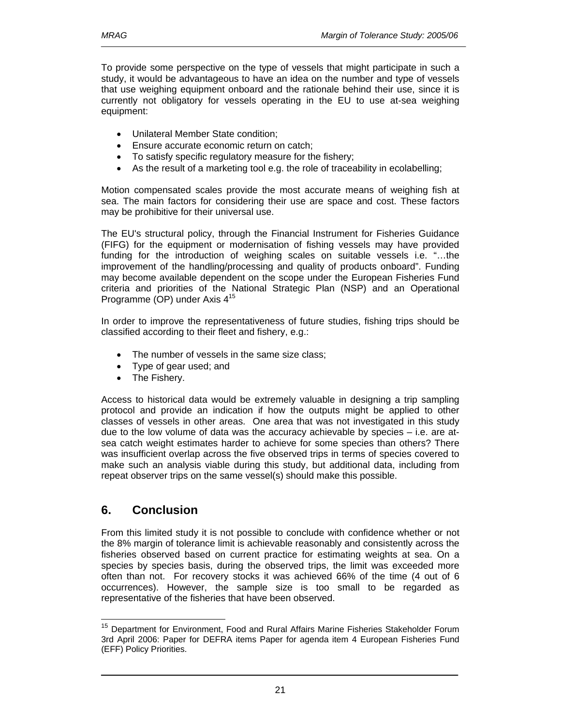To provide some perspective on the type of vessels that might participate in such a study, it would be advantageous to have an idea on the number and type of vessels that use weighing equipment onboard and the rationale behind their use, since it is currently not obligatory for vessels operating in the EU to use at-sea weighing equipment:

- Unilateral Member State condition;
- Ensure accurate economic return on catch:
- To satisfy specific regulatory measure for the fishery;
- As the result of a marketing tool e.g. the role of traceability in ecolabelling;

Motion compensated scales provide the most accurate means of weighing fish at sea. The main factors for considering their use are space and cost. These factors may be prohibitive for their universal use.

The EU's structural policy, through the Financial Instrument for Fisheries Guidance (FIFG) for the equipment or modernisation of fishing vessels may have provided funding for the introduction of weighing scales on suitable vessels i.e. "…the improvement of the handling/processing and quality of products onboard". Funding may become available dependent on the scope under the European Fisheries Fund criteria and priorities of the National Strategic Plan (NSP) and an Operational Programme (OP) under Axis 4<sup>15</sup>

In order to improve the representativeness of future studies, fishing trips should be classified according to their fleet and fishery, e.g.:

- The number of vessels in the same size class;
- Type of gear used; and
- The Fishery.

Access to historical data would be extremely valuable in designing a trip sampling protocol and provide an indication if how the outputs might be applied to other classes of vessels in other areas. One area that was not investigated in this study due to the low volume of data was the accuracy achievable by species – i.e. are atsea catch weight estimates harder to achieve for some species than others? There was insufficient overlap across the five observed trips in terms of species covered to make such an analysis viable during this study, but additional data, including from repeat observer trips on the same vessel(s) should make this possible.

# **6. Conclusion**

l

From this limited study it is not possible to conclude with confidence whether or not the 8% margin of tolerance limit is achievable reasonably and consistently across the fisheries observed based on current practice for estimating weights at sea. On a species by species basis, during the observed trips, the limit was exceeded more often than not. For recovery stocks it was achieved 66% of the time (4 out of 6 occurrences). However, the sample size is too small to be regarded as representative of the fisheries that have been observed.

<sup>&</sup>lt;sup>15</sup> Department for Environment, Food and Rural Affairs Marine Fisheries Stakeholder Forum 3rd April 2006: Paper for DEFRA items Paper for agenda item 4 European Fisheries Fund (EFF) Policy Priorities.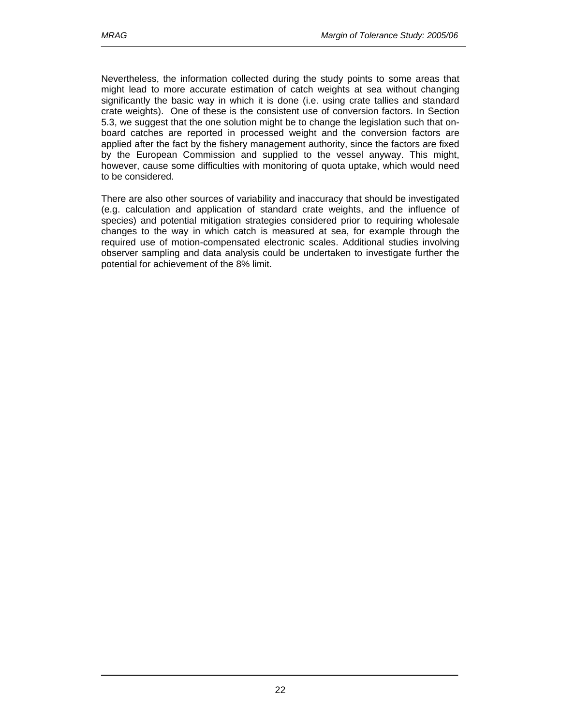Nevertheless, the information collected during the study points to some areas that might lead to more accurate estimation of catch weights at sea without changing significantly the basic way in which it is done (i.e. using crate tallies and standard crate weights). One of these is the consistent use of conversion factors. In Section 5.3, we suggest that the one solution might be to change the legislation such that onboard catches are reported in processed weight and the conversion factors are applied after the fact by the fishery management authority, since the factors are fixed by the European Commission and supplied to the vessel anyway. This might, however, cause some difficulties with monitoring of quota uptake, which would need to be considered.

There are also other sources of variability and inaccuracy that should be investigated (e.g. calculation and application of standard crate weights, and the influence of species) and potential mitigation strategies considered prior to requiring wholesale changes to the way in which catch is measured at sea, for example through the required use of motion-compensated electronic scales. Additional studies involving observer sampling and data analysis could be undertaken to investigate further the potential for achievement of the 8% limit.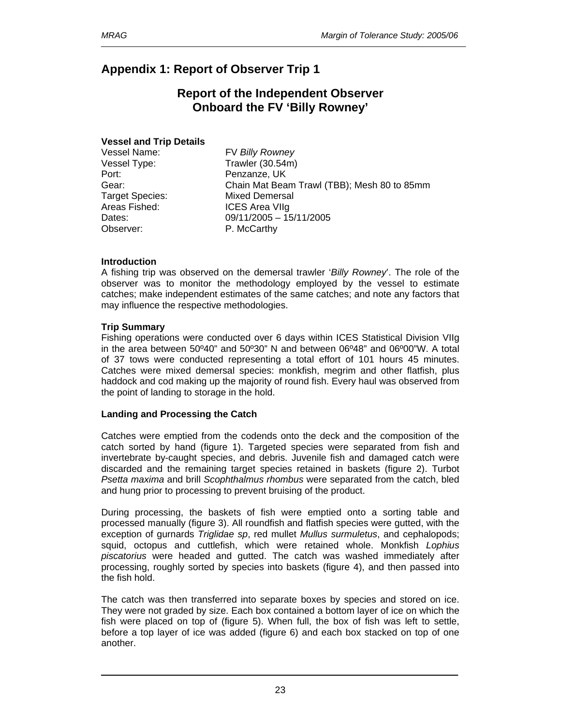# **Appendix 1: Report of Observer Trip 1**

# **Report of the Independent Observer Onboard the FV 'Billy Rowney'**

### **Vessel and Trip Details**

Vessel Type: Trawler (30.54m) Port: Penzanze, UK Target Species: Mixed Demersal Areas Fished: ICES Area VIIg Observer: P. McCarthy

Vessel Name: FV *Billy Rowney* Gear: Chain Mat Beam Trawl (TBB); Mesh 80 to 85mm Dates: 09/11/2005 – 15/11/2005

### **Introduction**

A fishing trip was observed on the demersal trawler '*Billy Rowney*'. The role of the observer was to monitor the methodology employed by the vessel to estimate catches; make independent estimates of the same catches; and note any factors that may influence the respective methodologies.

### **Trip Summary**

Fishing operations were conducted over 6 days within ICES Statistical Division VIIg in the area between 50º40" and 50º30" N and between 06º48" and 06º00"W. A total of 37 tows were conducted representing a total effort of 101 hours 45 minutes. Catches were mixed demersal species: monkfish, megrim and other flatfish, plus haddock and cod making up the majority of round fish. Every haul was observed from the point of landing to storage in the hold.

### **Landing and Processing the Catch**

Catches were emptied from the codends onto the deck and the composition of the catch sorted by hand (figure 1). Targeted species were separated from fish and invertebrate by-caught species, and debris. Juvenile fish and damaged catch were discarded and the remaining target species retained in baskets (figure 2). Turbot *Psetta maxima* and brill *Scophthalmus rhombus* were separated from the catch, bled and hung prior to processing to prevent bruising of the product.

During processing, the baskets of fish were emptied onto a sorting table and processed manually (figure 3). All roundfish and flatfish species were gutted, with the exception of gurnards *Triglidae sp*, red mullet *Mullus surmuletus*, and cephalopods; squid, octopus and cuttlefish, which were retained whole. Monkfish *Lophius piscatorius* were headed and gutted. The catch was washed immediately after processing, roughly sorted by species into baskets (figure 4), and then passed into the fish hold.

The catch was then transferred into separate boxes by species and stored on ice. They were not graded by size. Each box contained a bottom layer of ice on which the fish were placed on top of (figure 5). When full, the box of fish was left to settle, before a top layer of ice was added (figure 6) and each box stacked on top of one another.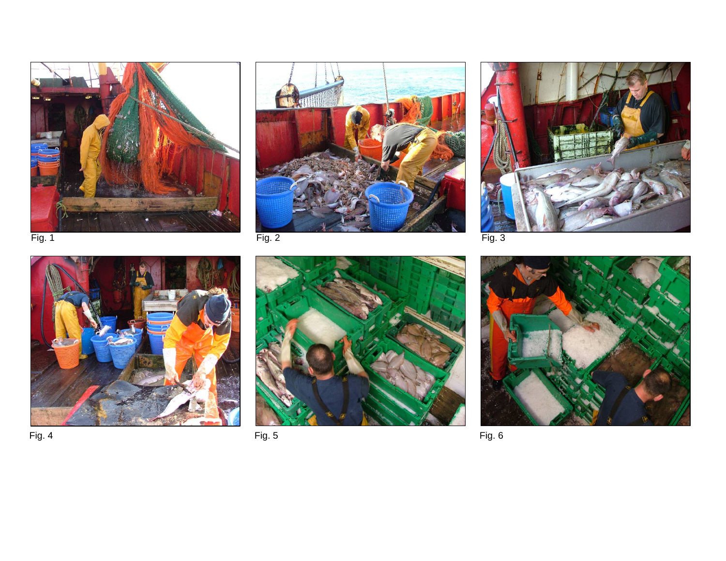









Fig. 4 Fig. 5 Fig. 6

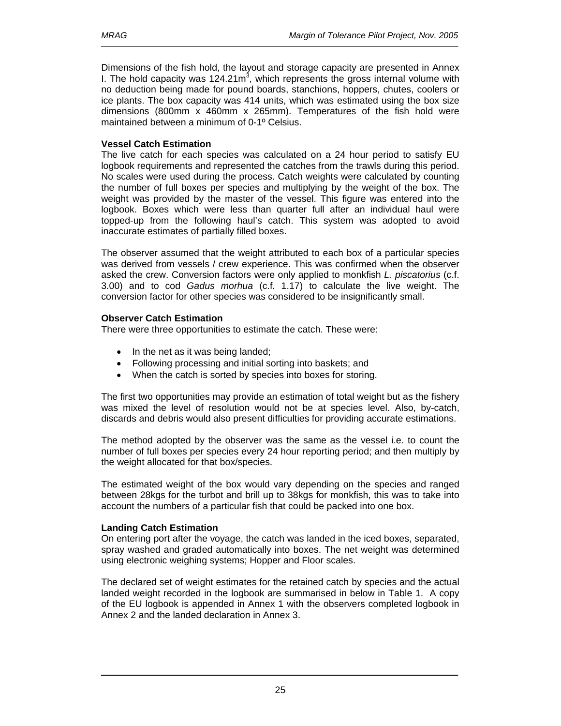Dimensions of the fish hold, the layout and storage capacity are presented in Annex I. The hold capacity was  $124.21m^3$ , which represents the gross internal volume with no deduction being made for pound boards, stanchions, hoppers, chutes, coolers or ice plants. The box capacity was 414 units, which was estimated using the box size dimensions (800mm x 460mm x 265mm). Temperatures of the fish hold were maintained between a minimum of 0-1º Celsius.

### **Vessel Catch Estimation**

The live catch for each species was calculated on a 24 hour period to satisfy EU logbook requirements and represented the catches from the trawls during this period. No scales were used during the process. Catch weights were calculated by counting the number of full boxes per species and multiplying by the weight of the box. The weight was provided by the master of the vessel. This figure was entered into the logbook. Boxes which were less than quarter full after an individual haul were topped-up from the following haul's catch. This system was adopted to avoid inaccurate estimates of partially filled boxes.

The observer assumed that the weight attributed to each box of a particular species was derived from vessels / crew experience. This was confirmed when the observer asked the crew. Conversion factors were only applied to monkfish *L. piscatorius* (c.f. 3.00) and to cod *Gadus morhua* (c.f. 1.17) to calculate the live weight. The conversion factor for other species was considered to be insignificantly small.

### **Observer Catch Estimation**

There were three opportunities to estimate the catch. These were:

- In the net as it was being landed;
- Following processing and initial sorting into baskets; and
- When the catch is sorted by species into boxes for storing.

The first two opportunities may provide an estimation of total weight but as the fishery was mixed the level of resolution would not be at species level. Also, by-catch, discards and debris would also present difficulties for providing accurate estimations.

The method adopted by the observer was the same as the vessel i.e. to count the number of full boxes per species every 24 hour reporting period; and then multiply by the weight allocated for that box/species.

The estimated weight of the box would vary depending on the species and ranged between 28kgs for the turbot and brill up to 38kgs for monkfish, this was to take into account the numbers of a particular fish that could be packed into one box.

### **Landing Catch Estimation**

On entering port after the voyage, the catch was landed in the iced boxes, separated, spray washed and graded automatically into boxes. The net weight was determined using electronic weighing systems; Hopper and Floor scales.

The declared set of weight estimates for the retained catch by species and the actual landed weight recorded in the logbook are summarised in below in Table 1. A copy of the EU logbook is appended in Annex 1 with the observers completed logbook in Annex 2 and the landed declaration in Annex 3.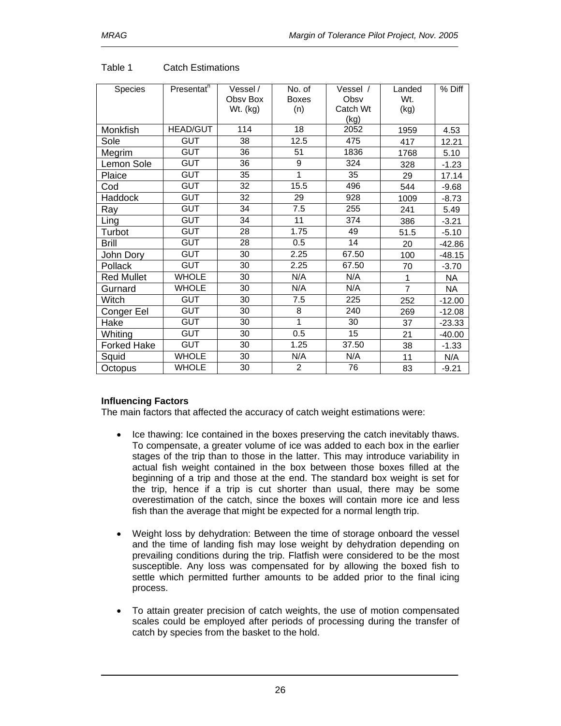| <b>Species</b>     | Presentat <sup>n</sup> | Vessel / | No. of         | Vessel / | Landed         | % Diff    |
|--------------------|------------------------|----------|----------------|----------|----------------|-----------|
|                    |                        | Obsv Box | <b>Boxes</b>   | Obsv     | Wt.            |           |
|                    |                        | Wt. (kg) | (n)            | Catch Wt | (kg)           |           |
|                    |                        |          |                | (kg)     |                |           |
| Monkfish           | <b>HEAD/GUT</b>        | 114      | 18             | 2052     | 1959           | 4.53      |
| Sole               | <b>GUT</b>             | 38       | 12.5           | 475      | 417            | 12.21     |
| Megrim             | <b>GUT</b>             | 36       | 51             | 1836     | 1768           | 5.10      |
| Lemon Sole         | <b>GUT</b>             | 36       | 9              | 324      | 328            | $-1.23$   |
| Plaice             | <b>GUT</b>             | 35       | 1              | 35       | 29             | 17.14     |
| Cod                | <b>GUT</b>             | 32       | 15.5           | 496      | 544            | $-9.68$   |
| Haddock            | <b>GUT</b>             | 32       | 29             | 928      | 1009           | $-8.73$   |
| Ray                | <b>GUT</b>             | 34       | 7.5            | 255      | 241            | 5.49      |
| Ling               | <b>GUT</b>             | 34       | 11             | 374      | 386            | $-3.21$   |
| Turbot             | <b>GUT</b>             | 28       | 1.75           | 49       | 51.5           | $-5.10$   |
| <b>Brill</b>       | <b>GUT</b>             | 28       | 0.5            | 14       | 20             | $-42.86$  |
| John Dory          | <b>GUT</b>             | 30       | 2.25           | 67.50    | 100            | $-48.15$  |
| Pollack            | <b>GUT</b>             | 30       | 2.25           | 67.50    | 70             | $-3.70$   |
| <b>Red Mullet</b>  | <b>WHOLE</b>           | 30       | N/A            | N/A      | 1              | <b>NA</b> |
| Gurnard            | <b>WHOLE</b>           | 30       | N/A            | N/A      | $\overline{7}$ | <b>NA</b> |
| Witch              | <b>GUT</b>             | 30       | 7.5            | 225      | 252            | $-12.00$  |
| Conger Eel         | <b>GUT</b>             | 30       | 8              | 240      | 269            | $-12.08$  |
| Hake               | <b>GUT</b>             | 30       | 1              | 30       | 37             | $-23.33$  |
| Whiting            | <b>GUT</b>             | 30       | 0.5            | 15       | 21             | $-40.00$  |
| <b>Forked Hake</b> | <b>GUT</b>             | 30       | 1.25           | 37.50    | 38             | $-1.33$   |
| Squid              | <b>WHOLE</b>           | 30       | N/A            | N/A      | 11             | N/A       |
| Octopus            | <b>WHOLE</b>           | 30       | $\overline{2}$ | 76       | 83             | $-9.21$   |

### Table 1 Catch Estimations

## **Influencing Factors**

The main factors that affected the accuracy of catch weight estimations were:

- Ice thawing: Ice contained in the boxes preserving the catch inevitably thaws. To compensate, a greater volume of ice was added to each box in the earlier stages of the trip than to those in the latter. This may introduce variability in actual fish weight contained in the box between those boxes filled at the beginning of a trip and those at the end. The standard box weight is set for the trip, hence if a trip is cut shorter than usual, there may be some overestimation of the catch, since the boxes will contain more ice and less fish than the average that might be expected for a normal length trip.
- Weight loss by dehydration: Between the time of storage onboard the vessel and the time of landing fish may lose weight by dehydration depending on prevailing conditions during the trip. Flatfish were considered to be the most susceptible. Any loss was compensated for by allowing the boxed fish to settle which permitted further amounts to be added prior to the final icing process.
- To attain greater precision of catch weights, the use of motion compensated scales could be employed after periods of processing during the transfer of catch by species from the basket to the hold.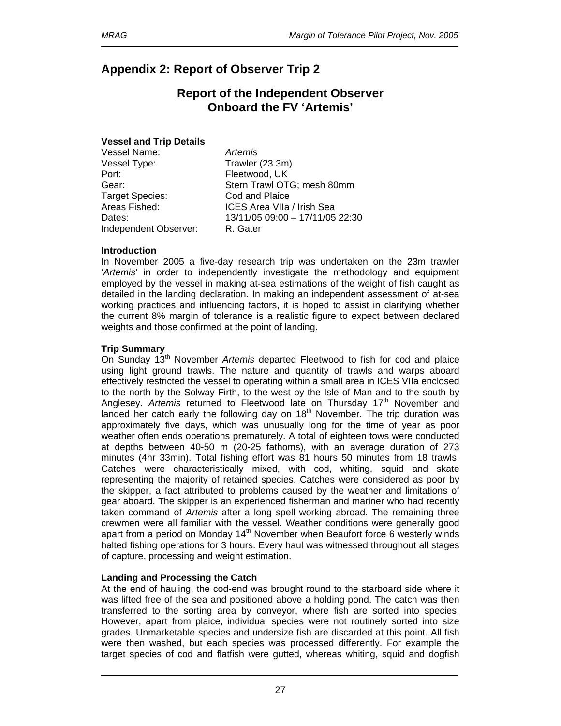# **Appendix 2: Report of Observer Trip 2**

# **Report of the Independent Observer Onboard the FV 'Artemis'**

### **Vessel and Trip Details**

| Vessel Name:           | Artemis                         |
|------------------------|---------------------------------|
| Vessel Type:           | Trawler (23.3m)                 |
| Port:                  | Fleetwood, UK                   |
| Gear:                  | Stern Trawl OTG; mesh 80mm      |
| <b>Target Species:</b> | Cod and Plaice                  |
| Areas Fished:          | ICES Area VIIa / Irish Sea      |
| Dates:                 | 13/11/05 09:00 - 17/11/05 22:30 |
| Independent Observer:  | R. Gater                        |

### **Introduction**

In November 2005 a five-day research trip was undertaken on the 23m trawler '*Artemis*' in order to independently investigate the methodology and equipment employed by the vessel in making at-sea estimations of the weight of fish caught as detailed in the landing declaration. In making an independent assessment of at-sea working practices and influencing factors, it is hoped to assist in clarifying whether the current 8% margin of tolerance is a realistic figure to expect between declared weights and those confirmed at the point of landing.

### **Trip Summary**

On Sunday 13<sup>th</sup> November Artemis departed Fleetwood to fish for cod and plaice using light ground trawls. The nature and quantity of trawls and warps aboard effectively restricted the vessel to operating within a small area in ICES VIIa enclosed to the north by the Solway Firth, to the west by the Isle of Man and to the south by Anglesey. Artemis returned to Fleetwood late on Thursday 17<sup>th</sup> November and landed her catch early the following day on  $18<sup>th</sup>$  November. The trip duration was approximately five days, which was unusually long for the time of year as poor weather often ends operations prematurely. A total of eighteen tows were conducted at depths between 40-50 m (20-25 fathoms), with an average duration of 273 minutes (4hr 33min). Total fishing effort was 81 hours 50 minutes from 18 trawls. Catches were characteristically mixed, with cod, whiting, squid and skate representing the majority of retained species. Catches were considered as poor by the skipper, a fact attributed to problems caused by the weather and limitations of gear aboard. The skipper is an experienced fisherman and mariner who had recently taken command of *Artemis* after a long spell working abroad. The remaining three crewmen were all familiar with the vessel. Weather conditions were generally good apart from a period on Monday  $14<sup>th</sup>$  November when Beaufort force 6 westerly winds halted fishing operations for 3 hours. Every haul was witnessed throughout all stages of capture, processing and weight estimation.

### **Landing and Processing the Catch**

At the end of hauling, the cod-end was brought round to the starboard side where it was lifted free of the sea and positioned above a holding pond. The catch was then transferred to the sorting area by conveyor, where fish are sorted into species. However, apart from plaice, individual species were not routinely sorted into size grades. Unmarketable species and undersize fish are discarded at this point. All fish were then washed, but each species was processed differently. For example the target species of cod and flatfish were gutted, whereas whiting, squid and dogfish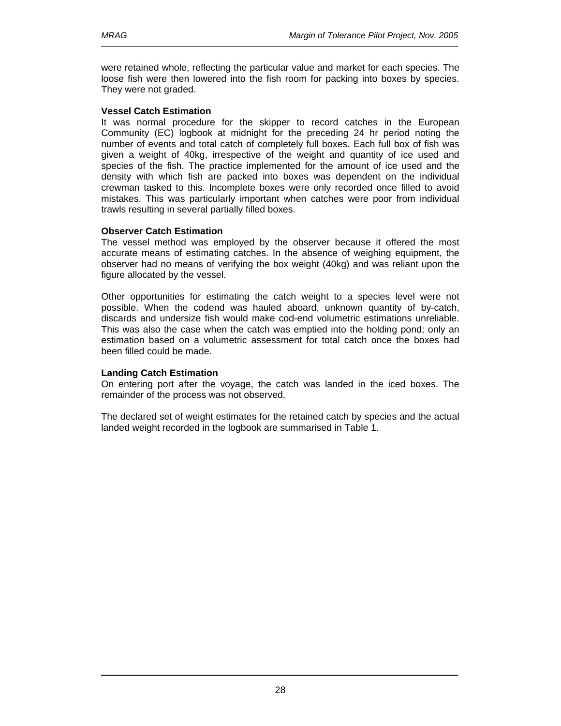were retained whole, reflecting the particular value and market for each species. The loose fish were then lowered into the fish room for packing into boxes by species. They were not graded.

### **Vessel Catch Estimation**

It was normal procedure for the skipper to record catches in the European Community (EC) logbook at midnight for the preceding 24 hr period noting the number of events and total catch of completely full boxes. Each full box of fish was given a weight of 40kg, irrespective of the weight and quantity of ice used and species of the fish. The practice implemented for the amount of ice used and the density with which fish are packed into boxes was dependent on the individual crewman tasked to this. Incomplete boxes were only recorded once filled to avoid mistakes. This was particularly important when catches were poor from individual trawls resulting in several partially filled boxes.

### **Observer Catch Estimation**

The vessel method was employed by the observer because it offered the most accurate means of estimating catches. In the absence of weighing equipment, the observer had no means of verifying the box weight (40kg) and was reliant upon the figure allocated by the vessel.

Other opportunities for estimating the catch weight to a species level were not possible. When the codend was hauled aboard, unknown quantity of by-catch, discards and undersize fish would make cod-end volumetric estimations unreliable. This was also the case when the catch was emptied into the holding pond; only an estimation based on a volumetric assessment for total catch once the boxes had been filled could be made.

### **Landing Catch Estimation**

On entering port after the voyage, the catch was landed in the iced boxes. The remainder of the process was not observed.

The declared set of weight estimates for the retained catch by species and the actual landed weight recorded in the logbook are summarised in Table 1.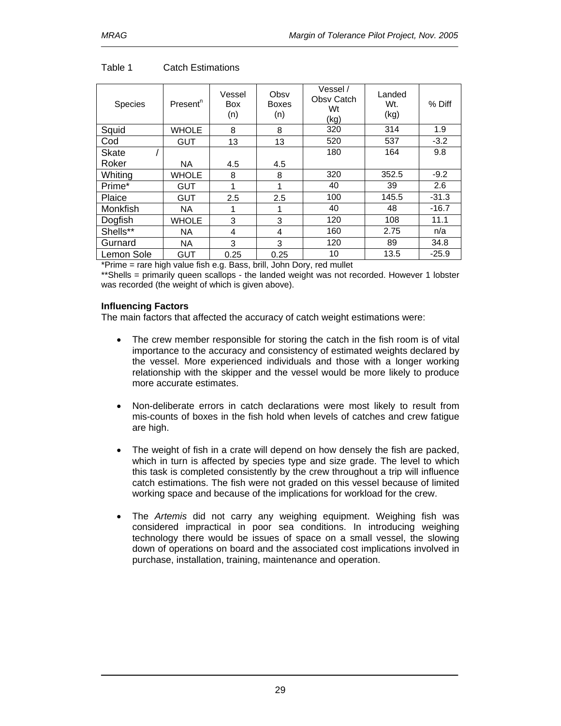| Species      | Present <sup>n</sup> | Vessel<br><b>Box</b><br>(n) | Obsv<br><b>Boxes</b><br>(n) | Vessel /<br>Obsy Catch<br>Wt<br>(kg) | Landed<br>Wt.<br>(kg) | % Diff  |
|--------------|----------------------|-----------------------------|-----------------------------|--------------------------------------|-----------------------|---------|
| Squid        | <b>WHOLE</b>         | 8                           | 8                           | 320                                  | 314                   | 1.9     |
| Cod          | <b>GUT</b>           | 13                          | 13                          | 520                                  | 537                   | $-3.2$  |
| <b>Skate</b> |                      |                             |                             | 180                                  | 164                   | 9.8     |
| Roker        | <b>NA</b>            | 4.5                         | 4.5                         |                                      |                       |         |
| Whiting      | <b>WHOLE</b>         | 8                           | 8                           | 320                                  | 352.5                 | $-9.2$  |
| Prime*       | <b>GUT</b>           |                             |                             | 40                                   | 39                    | 2.6     |
| Plaice       | <b>GUT</b>           | 2.5                         | 2.5                         | 100                                  | 145.5                 | $-31.3$ |
| Monkfish     | <b>NA</b>            | 1                           |                             | 40                                   | 48                    | $-16.7$ |
| Dogfish      | <b>WHOLE</b>         | 3                           | 3                           | 120                                  | 108                   | 11.1    |
| Shells**     | <b>NA</b>            | 4                           | 4                           | 160                                  | 2.75                  | n/a     |
| Gurnard      | <b>NA</b>            | 3                           | 3                           | 120                                  | 89                    | 34.8    |
| Lemon Sole   | GUT                  | 0.25                        | 0.25                        | 10                                   | 13.5                  | $-25.9$ |

### Table 1 Catch Estimations

\*Prime = rare high value fish e.g. Bass, brill, John Dory, red mullet

\*\* Shells = primarily queen scallops - the landed weight was not recorded. However 1 lobster was recorded (the weight of which is given above).

### **Influencing Factors**

The main factors that affected the accuracy of catch weight estimations were:

- The crew member responsible for storing the catch in the fish room is of vital importance to the accuracy and consistency of estimated weights declared by the vessel. More experienced individuals and those with a longer working relationship with the skipper and the vessel would be more likely to produce more accurate estimates.
- Non-deliberate errors in catch declarations were most likely to result from mis-counts of boxes in the fish hold when levels of catches and crew fatigue are high.
- The weight of fish in a crate will depend on how densely the fish are packed, which in turn is affected by species type and size grade. The level to which this task is completed consistently by the crew throughout a trip will influence catch estimations. The fish were not graded on this vessel because of limited working space and because of the implications for workload for the crew.
- The *Artemis* did not carry any weighing equipment. Weighing fish was considered impractical in poor sea conditions. In introducing weighing technology there would be issues of space on a small vessel, the slowing down of operations on board and the associated cost implications involved in purchase, installation, training, maintenance and operation.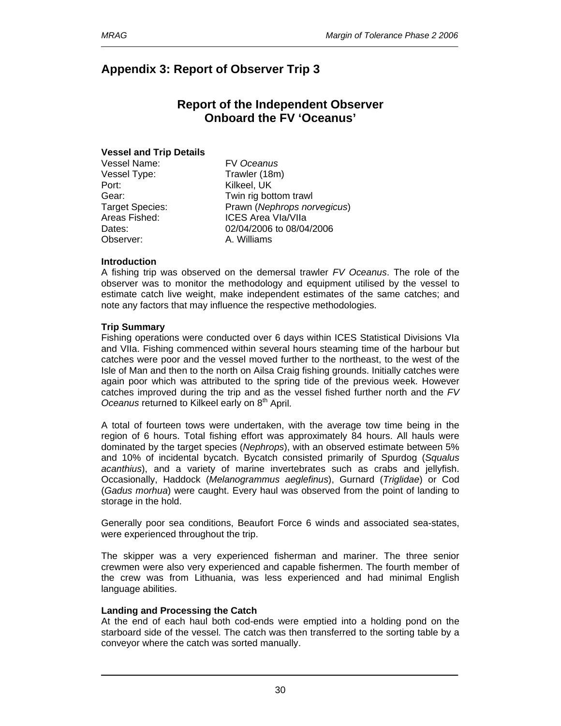# **Appendix 3: Report of Observer Trip 3**

# **Report of the Independent Observer Onboard the FV 'Oceanus'**

### **Vessel and Trip Details**

Vessel Name: FV *Oceanus* Vessel Type: Trawler (18m) Port: Kilkeel, UK Observer: A. Williams

Gear: **Twin rig bottom trawl** Target Species: Prawn (*Nephrops norvegicus*) Areas Fished: ICES Area VIa/VIIa Dates: 02/04/2006 to 08/04/2006

### **Introduction**

A fishing trip was observed on the demersal trawler *FV Oceanus*. The role of the observer was to monitor the methodology and equipment utilised by the vessel to estimate catch live weight, make independent estimates of the same catches; and note any factors that may influence the respective methodologies.

### **Trip Summary**

Fishing operations were conducted over 6 days within ICES Statistical Divisions VIa and VIIa. Fishing commenced within several hours steaming time of the harbour but catches were poor and the vessel moved further to the northeast, to the west of the Isle of Man and then to the north on Ailsa Craig fishing grounds. Initially catches were again poor which was attributed to the spring tide of the previous week. However catches improved during the trip and as the vessel fished further north and the *FV Oceanus* returned to Kilkeel early on 8<sup>th</sup> April.

A total of fourteen tows were undertaken, with the average tow time being in the region of 6 hours. Total fishing effort was approximately 84 hours. All hauls were dominated by the target species (*Nephrops*), with an observed estimate between 5% and 10% of incidental bycatch. Bycatch consisted primarily of Spurdog (*Squalus acanthius*), and a variety of marine invertebrates such as crabs and jellyfish. Occasionally, Haddock (*Melanogrammus aeglefinus*), Gurnard (*Triglidae*) or Cod (*Gadus morhua*) were caught. Every haul was observed from the point of landing to storage in the hold.

Generally poor sea conditions, Beaufort Force 6 winds and associated sea-states, were experienced throughout the trip.

The skipper was a very experienced fisherman and mariner. The three senior crewmen were also very experienced and capable fishermen. The fourth member of the crew was from Lithuania, was less experienced and had minimal English language abilities.

#### **Landing and Processing the Catch**

At the end of each haul both cod-ends were emptied into a holding pond on the starboard side of the vessel. The catch was then transferred to the sorting table by a conveyor where the catch was sorted manually.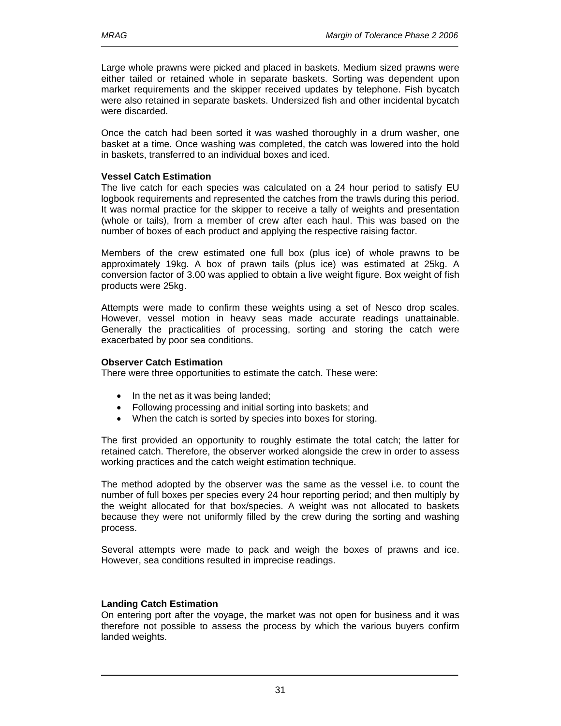Large whole prawns were picked and placed in baskets. Medium sized prawns were either tailed or retained whole in separate baskets. Sorting was dependent upon market requirements and the skipper received updates by telephone. Fish bycatch were also retained in separate baskets. Undersized fish and other incidental bycatch were discarded.

Once the catch had been sorted it was washed thoroughly in a drum washer, one basket at a time. Once washing was completed, the catch was lowered into the hold in baskets, transferred to an individual boxes and iced.

### **Vessel Catch Estimation**

The live catch for each species was calculated on a 24 hour period to satisfy EU logbook requirements and represented the catches from the trawls during this period. It was normal practice for the skipper to receive a tally of weights and presentation (whole or tails), from a member of crew after each haul. This was based on the number of boxes of each product and applying the respective raising factor.

Members of the crew estimated one full box (plus ice) of whole prawns to be approximately 19kg. A box of prawn tails (plus ice) was estimated at 25kg. A conversion factor of 3.00 was applied to obtain a live weight figure. Box weight of fish products were 25kg.

Attempts were made to confirm these weights using a set of Nesco drop scales. However, vessel motion in heavy seas made accurate readings unattainable. Generally the practicalities of processing, sorting and storing the catch were exacerbated by poor sea conditions.

### **Observer Catch Estimation**

There were three opportunities to estimate the catch. These were:

- In the net as it was being landed;
- Following processing and initial sorting into baskets; and
- When the catch is sorted by species into boxes for storing.

The first provided an opportunity to roughly estimate the total catch; the latter for retained catch. Therefore, the observer worked alongside the crew in order to assess working practices and the catch weight estimation technique.

The method adopted by the observer was the same as the vessel i.e. to count the number of full boxes per species every 24 hour reporting period; and then multiply by the weight allocated for that box/species. A weight was not allocated to baskets because they were not uniformly filled by the crew during the sorting and washing process.

Several attempts were made to pack and weigh the boxes of prawns and ice. However, sea conditions resulted in imprecise readings.

### **Landing Catch Estimation**

On entering port after the voyage, the market was not open for business and it was therefore not possible to assess the process by which the various buyers confirm landed weights.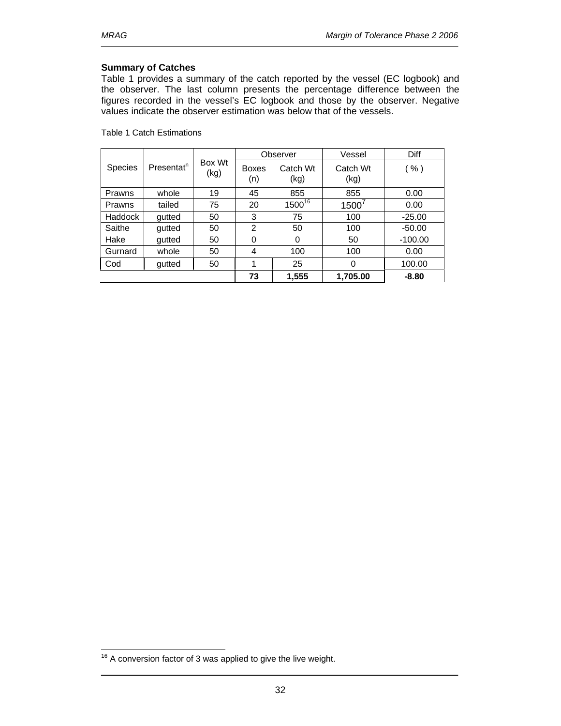### **Summary of Catches**

Table 1 provides a summary of the catch reported by the vessel (EC logbook) and the observer. The last column presents the percentage difference between the figures recorded in the vessel's EC logbook and those by the observer. Negative values indicate the observer estimation was below that of the vessels.

Table 1 Catch Estimations

| Presentat <sup>n</sup><br><b>Species</b> |        |                |                     | Observer           | Vessel           | Diff      |
|------------------------------------------|--------|----------------|---------------------|--------------------|------------------|-----------|
|                                          |        | Box Wt<br>(kg) | <b>Boxes</b><br>(n) | Catch Wt<br>(kg)   | Catch Wt<br>(kg) | ( %)      |
| Prawns                                   | whole  | 19             | 45                  | 855                | 855              | 0.00      |
| Prawns                                   | tailed | 75             | 20                  | 1500 <sup>16</sup> | 1500             | 0.00      |
| Haddock                                  | gutted | 50             | 3                   | 75                 | 100              | $-25.00$  |
| Saithe                                   | qutted | 50             | 2                   | 50                 | 100              | $-50.00$  |
| Hake                                     | gutted | 50             | 0                   | $\Omega$           | 50               | $-100.00$ |
| Gurnard                                  | whole  | 50             | 4                   | 100                | 100              | 0.00      |
| Cod                                      | gutted | 50             |                     | 25                 | $\Omega$         | 100.00    |
|                                          |        |                | 73                  | 1,555              | 1,705.00         | $-8.80$   |

 $\overline{a}$ 

 $16$  A conversion factor of 3 was applied to give the live weight.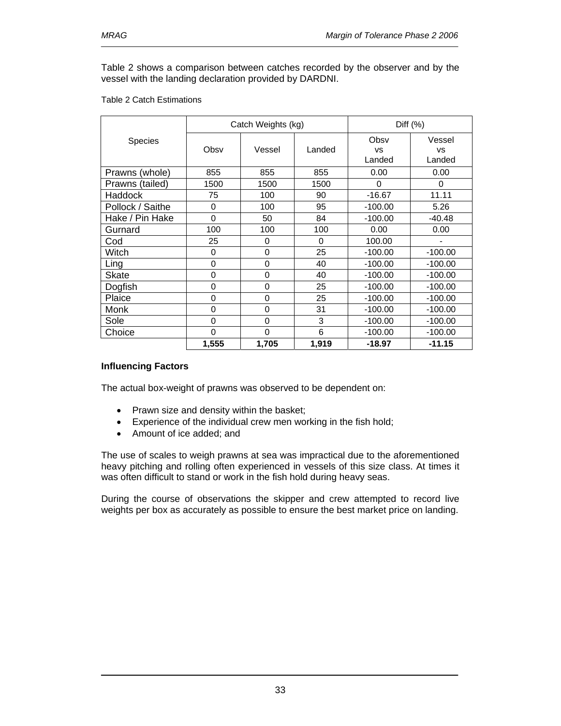Table 2 shows a comparison between catches recorded by the observer and by the vessel with the landing declaration provided by DARDNI.

#### Table 2 Catch Estimations

|                  |          | Catch Weights (kg) | Diff $(%)$ |                             |                               |
|------------------|----------|--------------------|------------|-----------------------------|-------------------------------|
| <b>Species</b>   | Obsv     | Vessel             | Landed     | Obsv<br><b>VS</b><br>Landed | Vessel<br><b>VS</b><br>Landed |
| Prawns (whole)   | 855      | 855                | 855        | 0.00                        | 0.00                          |
| Prawns (tailed)  | 1500     | 1500               | 1500       | 0                           | 0                             |
| Haddock          | 75       | 100                | 90         | $-16.67$                    | 11.11                         |
| Pollock / Saithe | 0        | 100                | 95         | $-100.00$                   | 5.26                          |
| Hake / Pin Hake  | $\Omega$ | 50                 | 84         | $-100.00$                   | $-40.48$                      |
| Gurnard          | 100      | 100                | 100        | 0.00                        | 0.00                          |
| Cod              | 25       | 0                  | 0          | 100.00                      |                               |
| Witch            | 0        | 0                  | 25         | $-100.00$                   | $-100.00$                     |
| Ling             | 0        | 0                  | 40         | $-100.00$                   | $-100.00$                     |
| Skate            | $\Omega$ | 0                  | 40         | $-100.00$                   | $-100.00$                     |
| Dogfish          | 0        | 0                  | 25         | $-100.00$                   | $-100.00$                     |
| Plaice           | 0        | 0                  | 25         | $-100.00$                   | $-100.00$                     |
| Monk             | $\Omega$ | 0                  | 31         | $-100.00$                   | $-100.00$                     |
| Sole             | $\Omega$ | 0                  | 3          | $-100.00$                   | $-100.00$                     |
| Choice           | 0        | 0                  | 6          | $-100.00$                   | $-100.00$                     |
|                  | 1,555    | 1,705              | 1,919      | $-18.97$                    | $-11.15$                      |

### **Influencing Factors**

The actual box-weight of prawns was observed to be dependent on:

- Prawn size and density within the basket;
- Experience of the individual crew men working in the fish hold;
- Amount of ice added; and

The use of scales to weigh prawns at sea was impractical due to the aforementioned heavy pitching and rolling often experienced in vessels of this size class. At times it was often difficult to stand or work in the fish hold during heavy seas.

During the course of observations the skipper and crew attempted to record live weights per box as accurately as possible to ensure the best market price on landing.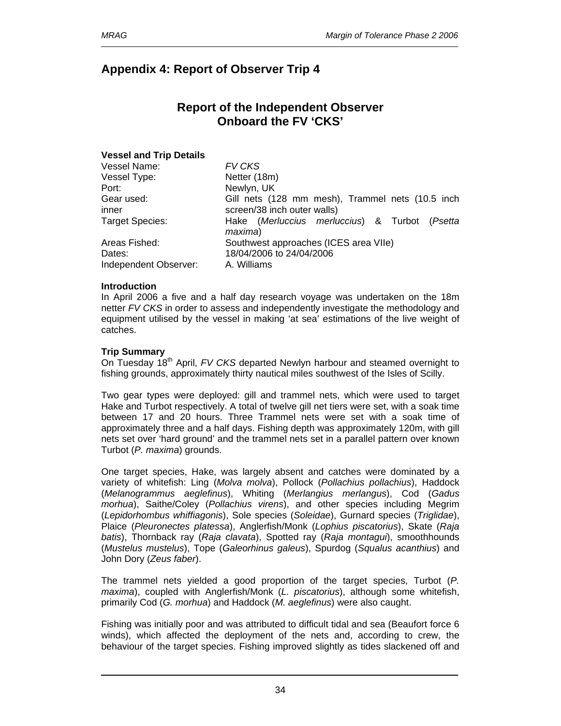# **Appendix 4: Report of Observer Trip 4**

# **Report of the Independent Observer Onboard the FV 'CKS'**

### **Vessel and Trip Details**

| Vessel Name:           | <b>FV CKS</b>                                               |
|------------------------|-------------------------------------------------------------|
| Vessel Type:           | Netter (18m)                                                |
| Port:                  | Newlyn, UK                                                  |
| Gear used:             | Gill nets (128 mm mesh), Trammel nets (10.5 inch            |
| inner                  | screen/38 inch outer walls)                                 |
| <b>Target Species:</b> | Hake (Merluccius merluccius) & Turbot<br>(Psetta<br>maxima) |
| Areas Fished:          | Southwest approaches (ICES area VIIe)                       |
| Dates:                 | 18/04/2006 to 24/04/2006                                    |
| Independent Observer:  | A. Williams                                                 |

### **Introduction**

In April 2006 a five and a half day research voyage was undertaken on the 18m netter *FV CKS* in order to assess and independently investigate the methodology and equipment utilised by the vessel in making 'at sea' estimations of the live weight of catches.

### **Trip Summary**

On Tuesday 18<sup>th</sup> April, *FV CKS* departed Newlyn harbour and steamed overnight to fishing grounds, approximately thirty nautical miles southwest of the Isles of Scilly.

Two gear types were deployed: gill and trammel nets, which were used to target Hake and Turbot respectively. A total of twelve gill net tiers were set, with a soak time between 17 and 20 hours. Three Trammel nets were set with a soak time of approximately three and a half days. Fishing depth was approximately 120m, with gill nets set over 'hard ground' and the trammel nets set in a parallel pattern over known Turbot (*P. maxima*) grounds.

One target species, Hake, was largely absent and catches were dominated by a variety of whitefish: Ling (*Molva molva*), Pollock (*Pollachius pollachius*), Haddock (*Melanogrammus aeglefinus*), Whiting (*Merlangius merlangus*), Cod (*Gadus morhua*), Saithe/Coley (*Pollachius virens*), and other species including Megrim (*Lepidorhombus whiffiagonis*), Sole species (*Soleidae*), Gurnard species (*Triglidae*), Plaice (*Pleuronectes platessa*), Anglerfish/Monk (*Lophius piscatorius*), Skate (*Raja batis*), Thornback ray (*Raja clavata*), Spotted ray (*Raja montagui*), smoothhounds (*Mustelus mustelus*), Tope (*Galeorhinus galeus*), Spurdog (*Squalus acanthius*) and John Dory (*Zeus faber*).

The trammel nets yielded a good proportion of the target species, Turbot (*P. maxima*), coupled with Anglerfish/Monk (*L. piscatorius*), although some whitefish, primarily Cod (*G. morhua*) and Haddock (*M. aeglefinus*) were also caught.

Fishing was initially poor and was attributed to difficult tidal and sea (Beaufort force 6 winds), which affected the deployment of the nets and, according to crew, the behaviour of the target species. Fishing improved slightly as tides slackened off and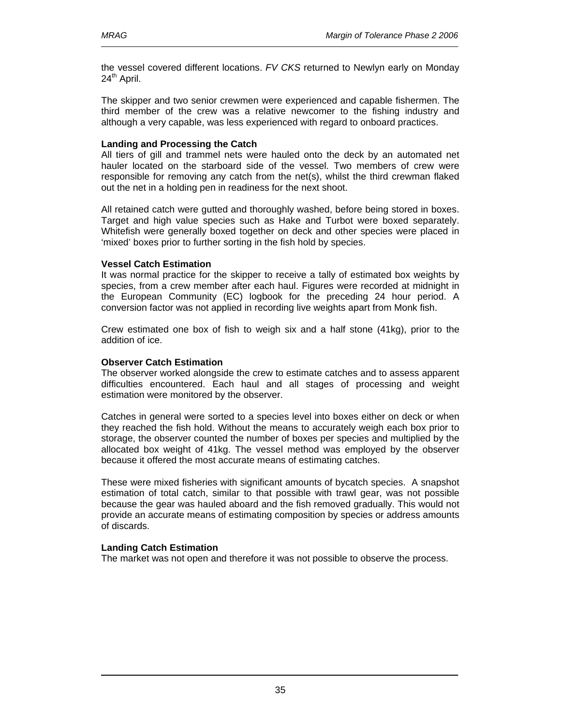the vessel covered different locations. *FV CKS* returned to Newlyn early on Monday 24<sup>th</sup> April.

The skipper and two senior crewmen were experienced and capable fishermen. The third member of the crew was a relative newcomer to the fishing industry and although a very capable, was less experienced with regard to onboard practices.

### **Landing and Processing the Catch**

All tiers of gill and trammel nets were hauled onto the deck by an automated net hauler located on the starboard side of the vessel. Two members of crew were responsible for removing any catch from the net(s), whilst the third crewman flaked out the net in a holding pen in readiness for the next shoot.

All retained catch were gutted and thoroughly washed, before being stored in boxes. Target and high value species such as Hake and Turbot were boxed separately. Whitefish were generally boxed together on deck and other species were placed in 'mixed' boxes prior to further sorting in the fish hold by species.

### **Vessel Catch Estimation**

It was normal practice for the skipper to receive a tally of estimated box weights by species, from a crew member after each haul. Figures were recorded at midnight in the European Community (EC) logbook for the preceding 24 hour period. A conversion factor was not applied in recording live weights apart from Monk fish.

Crew estimated one box of fish to weigh six and a half stone (41kg), prior to the addition of ice.

### **Observer Catch Estimation**

The observer worked alongside the crew to estimate catches and to assess apparent difficulties encountered. Each haul and all stages of processing and weight estimation were monitored by the observer.

Catches in general were sorted to a species level into boxes either on deck or when they reached the fish hold. Without the means to accurately weigh each box prior to storage, the observer counted the number of boxes per species and multiplied by the allocated box weight of 41kg. The vessel method was employed by the observer because it offered the most accurate means of estimating catches.

These were mixed fisheries with significant amounts of bycatch species. A snapshot estimation of total catch, similar to that possible with trawl gear, was not possible because the gear was hauled aboard and the fish removed gradually. This would not provide an accurate means of estimating composition by species or address amounts of discards.

### **Landing Catch Estimation**

The market was not open and therefore it was not possible to observe the process.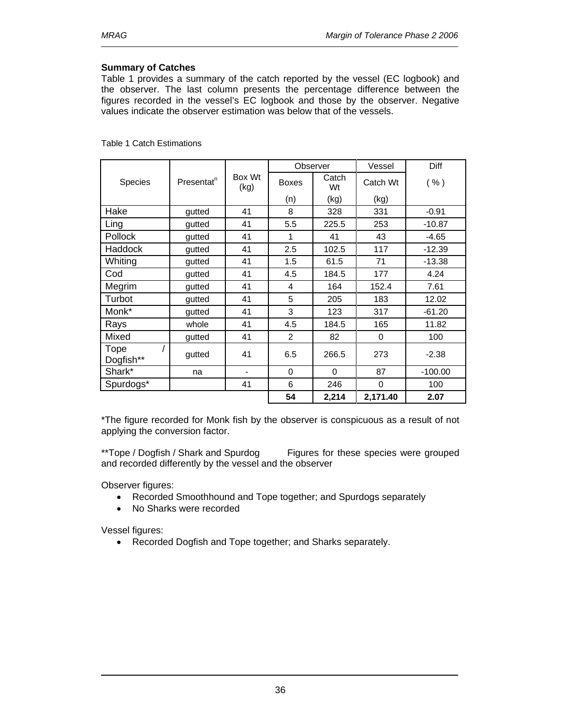### **Summary of Catches**

Table 1 provides a summary of the catch reported by the vessel (EC logbook) and the observer. The last column presents the percentage difference between the figures recorded in the vessel's EC logbook and those by the observer. Negative values indicate the observer estimation was below that of the vessels.

|                   |                        |                              |                | Observer    | Vessel   | Diff      |
|-------------------|------------------------|------------------------------|----------------|-------------|----------|-----------|
| Species           | Presentat <sup>n</sup> | Box Wt<br>(kg)               | <b>Boxes</b>   | Catch<br>Wt | Catch Wt | ( %)      |
|                   |                        |                              | (n)            | (kg)        | (kg)     |           |
| Hake              | gutted                 | 41                           | 8              | 328         | 331      | $-0.91$   |
| Ling              | gutted                 | 41                           | 5.5            | 225.5       | 253      | $-10.87$  |
| Pollock           | gutted                 | 41                           | 1              | 41          | 43       | $-4.65$   |
| Haddock           | gutted                 | 41                           | 2.5            | 102.5       | 117      | $-12.39$  |
| Whiting           | gutted                 | 41                           | 1.5            | 61.5        | 71       | $-13.38$  |
| Cod               | gutted                 | 41                           | 4.5            | 184.5       | 177      | 4.24      |
| Megrim            | gutted                 | 41                           | $\overline{4}$ | 164         | 152.4    | 7.61      |
| Turbot            | gutted                 | 41                           | 5              | 205         | 183      | 12.02     |
| Monk*             | qutted                 | 41                           | 3              | 123         | 317      | $-61.20$  |
| Rays              | whole                  | 41                           | 4.5            | 184.5       | 165      | 11.82     |
| Mixed             | gutted                 | 41                           | $\mathfrak{p}$ | 82          | $\Omega$ | 100       |
| Tope<br>Dogfish** | gutted                 | 41                           | 6.5            | 266.5       | 273      | $-2.38$   |
| Shark*            | na                     | $\qquad \qquad \blacksquare$ | $\mathbf 0$    | 0           | 87       | $-100.00$ |
| Spurdogs*         |                        | 41                           | 6              | 246         | 0        | 100       |
|                   |                        |                              | 54             | 2,214       | 2,171.40 | 2.07      |

Table 1 Catch Estimations

\*The figure recorded for Monk fish by the observer is conspicuous as a result of not applying the conversion factor.

\*\*Tope / Dogfish / Shark and Spurdog Figures for these species were grouped and recorded differently by the vessel and the observer

Observer figures:

- Recorded Smoothhound and Tope together; and Spurdogs separately
- No Sharks were recorded

Vessel figures:

• Recorded Dogfish and Tope together; and Sharks separately.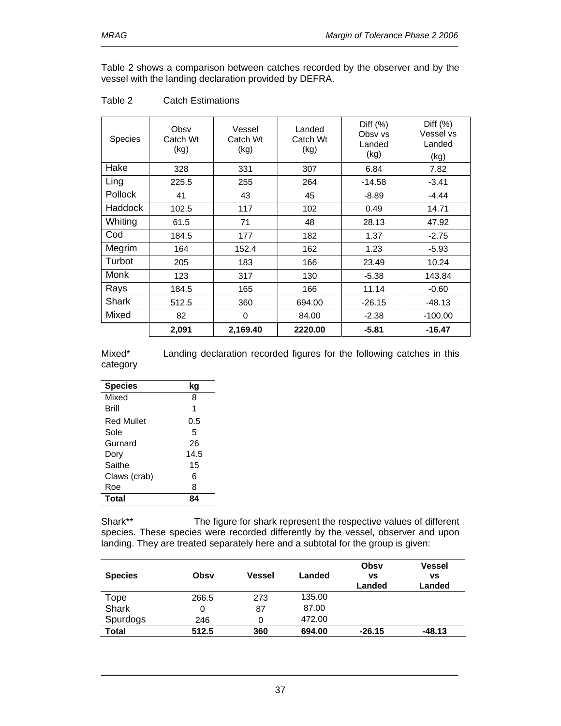Table 2 shows a comparison between catches recorded by the observer and by the vessel with the landing declaration provided by DEFRA.

| Species        | Obsv<br>Catch Wt<br>(kg) | Vessel<br>Catch Wt<br>(kg) | Landed<br>Catch Wt<br>(kg) | Diff $(\%)$<br>Obsv vs<br>Landed<br>(kg) | Diff $(\%)$<br>Vessel vs<br>Landed<br>(kg) |
|----------------|--------------------------|----------------------------|----------------------------|------------------------------------------|--------------------------------------------|
| Hake           | 328                      | 331                        | 307                        | 6.84                                     | 7.82                                       |
| Ling           | 225.5                    | 255                        | 264                        | $-14.58$                                 | $-3.41$                                    |
| <b>Pollock</b> | 41                       | 43                         | 45                         | $-8.89$                                  | $-4.44$                                    |
| <b>Haddock</b> | 102.5                    | 117                        | 102                        | 0.49                                     | 14.71                                      |
| Whiting        | 61.5                     | 71                         | 48                         | 28.13                                    | 47.92                                      |
| Cod            | 184.5                    | 177                        | 182                        | 1.37                                     | $-2.75$                                    |
| Megrim         | 164                      | 152.4                      | 162                        | 1.23                                     | $-5.93$                                    |
| Turbot         | 205                      | 183                        | 166                        | 23.49                                    | 10.24                                      |
| Monk           | 123                      | 317                        | 130                        | $-5.38$                                  | 143.84                                     |
| Rays           | 184.5                    | 165                        | 166                        | 11.14                                    | $-0.60$                                    |
| Shark          | 512.5                    | 360                        | 694.00                     | $-26.15$                                 | $-48.13$                                   |
| Mixed          | 82                       | 0                          | 84.00                      | $-2.38$                                  | $-100.00$                                  |
|                | 2,091                    | 2,169.40                   | 2220.00                    | $-5.81$                                  | $-16.47$                                   |

### Table 2 Catch Estimations

Mixed\* Landing declaration recorded figures for the following catches in this category

| <b>Species</b> | kg   |
|----------------|------|
| Mixed          | 8    |
| Brill          | 1    |
| Red Mullet     | 0.5  |
| Sole           | 5    |
| Gurnard        | 26   |
| Dory           | 14.5 |
| Saithe         | 15   |
| Claws (crab)   | 6    |
| Roe            | 8    |
| <b>Total</b>   |      |

Shark\*\* The figure for shark represent the respective values of different species. These species were recorded differently by the vessel, observer and upon landing. They are treated separately here and a subtotal for the group is given:

| <b>Species</b> | Obsv  | Vessel | Landed | Obsv<br>٧S<br>Landed | <b>Vessel</b><br>vs<br>Landed |
|----------------|-------|--------|--------|----------------------|-------------------------------|
| Tope           | 266.5 | 273    | 135.00 |                      |                               |
| <b>Shark</b>   | 0     | 87     | 87.00  |                      |                               |
| Spurdogs       | 246   | 0      | 472.00 |                      |                               |
| <b>Total</b>   | 512.5 | 360    | 694.00 | $-26.15$             | $-48.13$                      |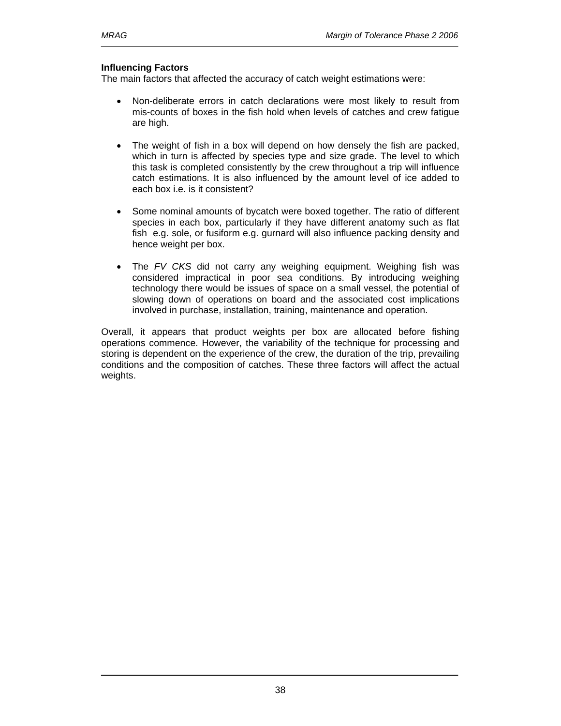### **Influencing Factors**

The main factors that affected the accuracy of catch weight estimations were:

- Non-deliberate errors in catch declarations were most likely to result from mis-counts of boxes in the fish hold when levels of catches and crew fatigue are high.
- The weight of fish in a box will depend on how densely the fish are packed, which in turn is affected by species type and size grade. The level to which this task is completed consistently by the crew throughout a trip will influence catch estimations. It is also influenced by the amount level of ice added to each box i.e. is it consistent?
- Some nominal amounts of bycatch were boxed together. The ratio of different species in each box, particularly if they have different anatomy such as flat fish e.g. sole, or fusiform e.g. gurnard will also influence packing density and hence weight per box.
- The *FV CKS* did not carry any weighing equipment. Weighing fish was considered impractical in poor sea conditions. By introducing weighing technology there would be issues of space on a small vessel, the potential of slowing down of operations on board and the associated cost implications involved in purchase, installation, training, maintenance and operation.

Overall, it appears that product weights per box are allocated before fishing operations commence. However, the variability of the technique for processing and storing is dependent on the experience of the crew, the duration of the trip, prevailing conditions and the composition of catches. These three factors will affect the actual weights.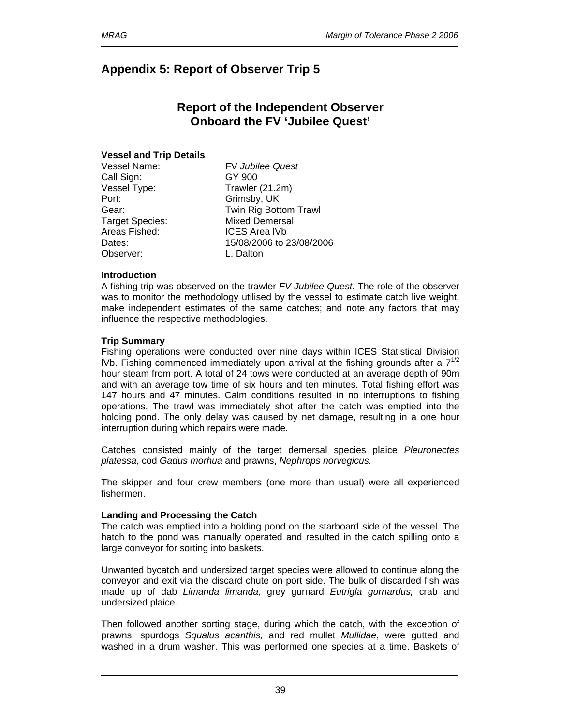# **Appendix 5: Report of Observer Trip 5**

# **Report of the Independent Observer Onboard the FV 'Jubilee Quest'**

### **Vessel and Trip Details**

Call Sign: GY 900 Vessel Type: Trawler (21.2m) Port: Grimsby, UK Areas Fished: ICES Area lVb Observer: L. Dalton

Vessel Name: FV *Jubilee Quest*  Gear: Twin Rig Bottom Trawl Target Species: Mixed Demersal Dates: 15/08/2006 to 23/08/2006

### **Introduction**

A fishing trip was observed on the trawler *FV Jubilee Quest.* The role of the observer was to monitor the methodology utilised by the vessel to estimate catch live weight, make independent estimates of the same catches; and note any factors that may influence the respective methodologies.

### **Trip Summary**

Fishing operations were conducted over nine days within ICES Statistical Division IVb. Fishing commenced immediately upon arrival at the fishing grounds after a  $7^{1/2}$ hour steam from port. A total of 24 tows were conducted at an average depth of 90m and with an average tow time of six hours and ten minutes. Total fishing effort was 147 hours and 47 minutes. Calm conditions resulted in no interruptions to fishing operations. The trawl was immediately shot after the catch was emptied into the holding pond. The only delay was caused by net damage, resulting in a one hour interruption during which repairs were made.

Catches consisted mainly of the target demersal species plaice *Pleuronectes platessa,* cod *Gadus morhua* and prawns, *Nephrops norvegicus.*

The skipper and four crew members (one more than usual) were all experienced fishermen.

### **Landing and Processing the Catch**

The catch was emptied into a holding pond on the starboard side of the vessel. The hatch to the pond was manually operated and resulted in the catch spilling onto a large conveyor for sorting into baskets.

Unwanted bycatch and undersized target species were allowed to continue along the conveyor and exit via the discard chute on port side. The bulk of discarded fish was made up of dab *Limanda limanda,* grey gurnard *Eutrigla gurnardus,* crab and undersized plaice.

Then followed another sorting stage, during which the catch, with the exception of prawns, spurdogs *Squalus acanthis,* and red mullet *Mullidae*, were gutted and washed in a drum washer. This was performed one species at a time. Baskets of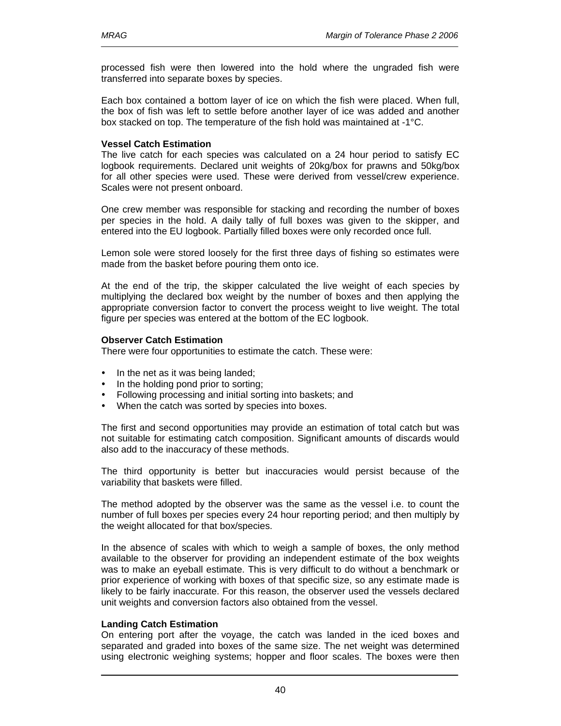processed fish were then lowered into the hold where the ungraded fish were transferred into separate boxes by species.

Each box contained a bottom layer of ice on which the fish were placed. When full, the box of fish was left to settle before another layer of ice was added and another box stacked on top. The temperature of the fish hold was maintained at -1°C.

### **Vessel Catch Estimation**

The live catch for each species was calculated on a 24 hour period to satisfy EC logbook requirements. Declared unit weights of 20kg/box for prawns and 50kg/box for all other species were used. These were derived from vessel/crew experience. Scales were not present onboard.

One crew member was responsible for stacking and recording the number of boxes per species in the hold. A daily tally of full boxes was given to the skipper, and entered into the EU logbook. Partially filled boxes were only recorded once full.

Lemon sole were stored loosely for the first three days of fishing so estimates were made from the basket before pouring them onto ice.

At the end of the trip, the skipper calculated the live weight of each species by multiplying the declared box weight by the number of boxes and then applying the appropriate conversion factor to convert the process weight to live weight. The total figure per species was entered at the bottom of the EC logbook.

### **Observer Catch Estimation**

There were four opportunities to estimate the catch. These were:

- In the net as it was being landed;
- In the holding pond prior to sorting;
- Following processing and initial sorting into baskets; and
- When the catch was sorted by species into boxes.

The first and second opportunities may provide an estimation of total catch but was not suitable for estimating catch composition. Significant amounts of discards would also add to the inaccuracy of these methods.

The third opportunity is better but inaccuracies would persist because of the variability that baskets were filled.

The method adopted by the observer was the same as the vessel i.e. to count the number of full boxes per species every 24 hour reporting period; and then multiply by the weight allocated for that box/species.

In the absence of scales with which to weigh a sample of boxes, the only method available to the observer for providing an independent estimate of the box weights was to make an eyeball estimate. This is very difficult to do without a benchmark or prior experience of working with boxes of that specific size, so any estimate made is likely to be fairly inaccurate. For this reason, the observer used the vessels declared unit weights and conversion factors also obtained from the vessel.

### **Landing Catch Estimation**

On entering port after the voyage, the catch was landed in the iced boxes and separated and graded into boxes of the same size. The net weight was determined using electronic weighing systems; hopper and floor scales. The boxes were then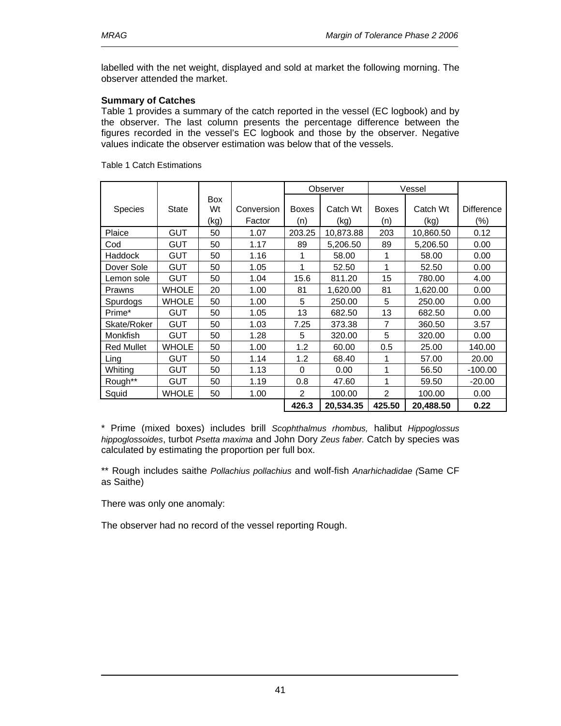labelled with the net weight, displayed and sold at market the following morning. The observer attended the market.

### **Summary of Catches**

Table 1 provides a summary of the catch reported in the vessel (EC logbook) and by the observer. The last column presents the percentage difference between the figures recorded in the vessel's EC logbook and those by the observer. Negative values indicate the observer estimation was below that of the vessels.

|                   |              |                  |            |                | Observer  |                | Vessel    |                   |
|-------------------|--------------|------------------|------------|----------------|-----------|----------------|-----------|-------------------|
| <b>Species</b>    | State        | <b>Box</b><br>Wt | Conversion | <b>Boxes</b>   | Catch Wt  | <b>Boxes</b>   | Catch Wt  | <b>Difference</b> |
|                   |              | (kg)             | Factor     | (n)            | (kg)      | (n)            | (kg)      | $(\% )$           |
| Plaice            | <b>GUT</b>   | 50               | 1.07       | 203.25         | 10,873.88 | 203            | 10,860.50 | 0.12              |
| Cod               | <b>GUT</b>   | 50               | 1.17       | 89             | 5,206.50  | 89             | 5,206.50  | 0.00              |
| <b>Haddock</b>    | <b>GUT</b>   | 50               | 1.16       | 1              | 58.00     | 1              | 58.00     | 0.00              |
| Dover Sole        | <b>GUT</b>   | 50               | 1.05       | 1              | 52.50     | 1              | 52.50     | 0.00              |
| Lemon sole        | <b>GUT</b>   | 50               | 1.04       | 15.6           | 811.20    | 15             | 780.00    | 4.00              |
| Prawns            | <b>WHOLE</b> | 20               | 1.00       | 81             | 1,620.00  | 81             | 1,620.00  | 0.00              |
| Spurdogs          | <b>WHOLE</b> | 50               | 1.00       | 5              | 250.00    | 5              | 250.00    | 0.00              |
| Prime*            | <b>GUT</b>   | 50               | 1.05       | 13             | 682.50    | 13             | 682.50    | 0.00              |
| Skate/Roker       | <b>GUT</b>   | 50               | 1.03       | 7.25           | 373.38    | $\overline{7}$ | 360.50    | 3.57              |
| Monkfish          | <b>GUT</b>   | 50               | 1.28       | 5              | 320.00    | 5              | 320.00    | 0.00              |
| <b>Red Mullet</b> | <b>WHOLE</b> | 50               | 1.00       | 1.2            | 60.00     | 0.5            | 25.00     | 140.00            |
| Ling              | <b>GUT</b>   | 50               | 1.14       | 1.2            | 68.40     |                | 57.00     | 20.00             |
| Whiting           | <b>GUT</b>   | 50               | 1.13       | $\Omega$       | 0.00      | 1              | 56.50     | $-100.00$         |
| Rough**           | <b>GUT</b>   | 50               | 1.19       | 0.8            | 47.60     | 1              | 59.50     | $-20.00$          |
| Squid             | <b>WHOLE</b> | 50               | 1.00       | $\overline{2}$ | 100.00    | $\mathcal{P}$  | 100.00    | 0.00              |
|                   |              |                  |            | 426.3          | 20,534.35 | 425.50         | 20.488.50 | 0.22              |

#### Table 1 Catch Estimations

\* Prime (mixed boxes) includes brill *Scophthalmus rhombus,* halibut *Hippoglossus hippoglossoides*, turbot *Psetta maxima* and John Dory *Zeus faber.* Catch by species was calculated by estimating the proportion per full box.

\*\* Rough includes saithe *Pollachius pollachius* and wolf-fish *Anarhichadidae (*Same CF as Saithe)

There was only one anomaly:

The observer had no record of the vessel reporting Rough.